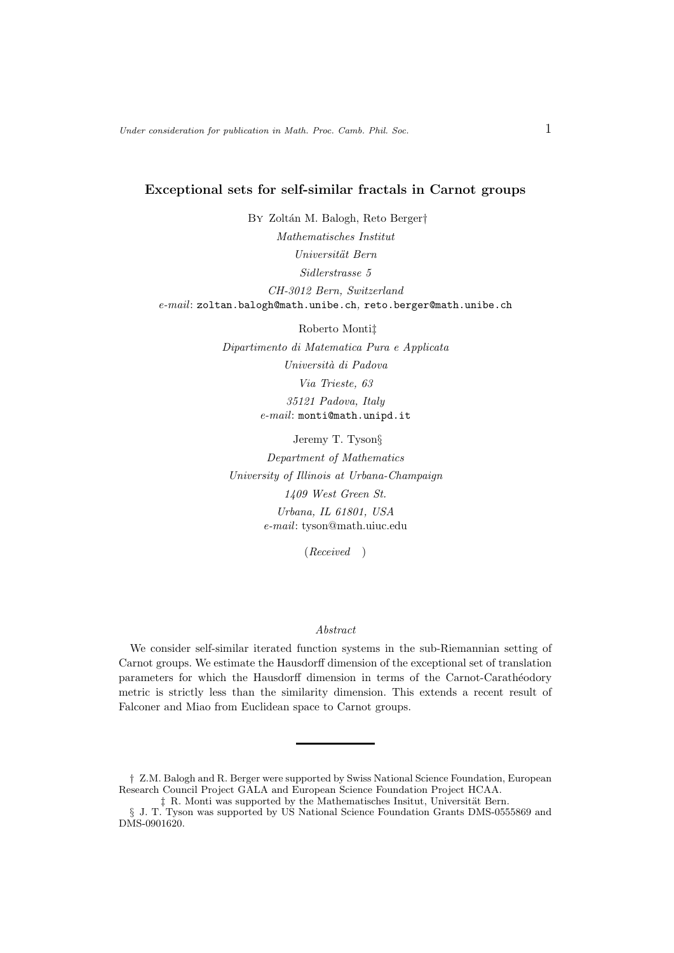### Exceptional sets for self-similar fractals in Carnot groups

By Zoltán M. Balogh, Reto Berger† Mathematisches Institut Universität Bern Sidlerstrasse 5 CH-3012 Bern, Switzerland e-mail: zoltan.balogh@math.unibe.ch, reto.berger@math.unibe.ch

> Roberto Monti‡ Dipartimento di Matematica Pura e Applicata Universit`a di Padova Via Trieste, 63 35121 Padova, Italy e-mail: monti@math.unipd.it

Jeremy T. Tyson§ Department of Mathematics University of Illinois at Urbana-Champaign 1409 West Green St. Urbana, IL 61801, USA e-mail: tyson@math.uiuc.edu

(Received )

#### Abstract

We consider self-similar iterated function systems in the sub-Riemannian setting of Carnot groups. We estimate the Hausdorff dimension of the exceptional set of translation parameters for which the Hausdorff dimension in terms of the Carnot-Carathéodory metric is strictly less than the similarity dimension. This extends a recent result of Falconer and Miao from Euclidean space to Carnot groups.

<sup>†</sup> Z.M. Balogh and R. Berger were supported by Swiss National Science Foundation, European Research Council Project GALA and European Science Foundation Project HCAA.

 $\ddagger$  R. Monti was supported by the Mathematisches Insitut, Universität Bern.

<sup>§</sup> J. T. Tyson was supported by US National Science Foundation Grants DMS-0555869 and DMS-0901620.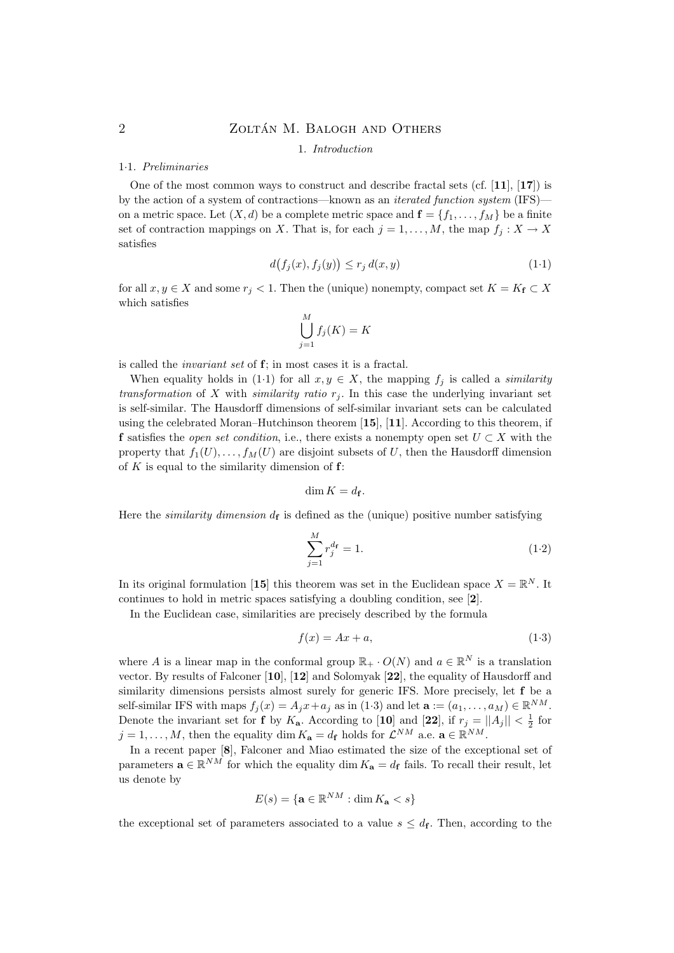### 1. Introduction

### 1·1. Preliminaries

One of the most common ways to construct and describe fractal sets (cf.  $[11]$ ,  $[17]$ ) is by the action of a system of contractions—known as an iterated function system (IFS) on a metric space. Let  $(X, d)$  be a complete metric space and  $f = \{f_1, \ldots, f_M\}$  be a finite set of contraction mappings on X. That is, for each  $j = 1, ..., M$ , the map  $f_j : X \to X$ satisfies

$$
d(f_j(x), f_j(y)) \le r_j d(x, y) \tag{1-1}
$$

for all  $x, y \in X$  and some  $r_j < 1$ . Then the (unique) nonempty, compact set  $K = K_f \subset X$ which satisfies

$$
\bigcup_{j=1}^{M} f_j(K) = K
$$

is called the invariant set of f; in most cases it is a fractal.

When equality holds in (1·1) for all  $x, y \in X$ , the mapping  $f_i$  is called a *similarity* transformation of X with similarity ratio  $r<sub>i</sub>$ . In this case the underlying invariant set is self-similar. The Hausdorff dimensions of self-similar invariant sets can be calculated using the celebrated Moran–Hutchinson theorem [15], [11]. According to this theorem, if f satisfies the *open set condition*, i.e., there exists a nonempty open set  $U \subset X$  with the property that  $f_1(U), \ldots, f_M(U)$  are disjoint subsets of U, then the Hausdorff dimension of  $K$  is equal to the similarity dimension of  $f$ :

$$
\dim K = d_{\mathbf{f}}.
$$

Here the *similarity dimension*  $d_f$  is defined as the (unique) positive number satisfying

$$
\sum_{j=1}^{M} r_j^{d_{\mathbf{f}}} = 1.
$$
\n(1.2)

In its original formulation [15] this theorem was set in the Euclidean space  $X = \mathbb{R}^N$ . It continues to hold in metric spaces satisfying a doubling condition, see [2].

In the Euclidean case, similarities are precisely described by the formula

$$
f(x) = Ax + a,\tag{1-3}
$$

where A is a linear map in the conformal group  $\mathbb{R}_+ \cdot O(N)$  and  $a \in \mathbb{R}^N$  is a translation vector. By results of Falconer [10], [12] and Solomyak [22], the equality of Hausdorff and similarity dimensions persists almost surely for generic IFS. More precisely, let f be a self-similar IFS with maps  $f_j(x) = A_j x + a_j$  as in  $(1.3)$  and let  $\mathbf{a} := (a_1, \dots, a_M) \in \mathbb{R}^{NM}$ . Denote the invariant set for **f** by  $K_a$ . According to [10] and [22], if  $r_j = ||A_j|| < \frac{1}{2}$  for  $j = 1, \ldots, M$ , then the equality dim  $K_{\mathbf{a}} = d_{\mathbf{f}}$  holds for  $\mathcal{L}^{NM}$  a.e.  $\mathbf{a} \in \mathbb{R}^{NM}$ .

In a recent paper [8], Falconer and Miao estimated the size of the exceptional set of parameters  $\mathbf{a} \in \mathbb{R}^{NM}$  for which the equality dim  $K_{\mathbf{a}} = d_{\mathbf{f}}$  fails. To recall their result, let us denote by

$$
E(s) = \{ \mathbf{a} \in \mathbb{R}^{NM} : \dim K_{\mathbf{a}} < s \}
$$

the exceptional set of parameters associated to a value  $s \leq d_{\mathbf{f}}$ . Then, according to the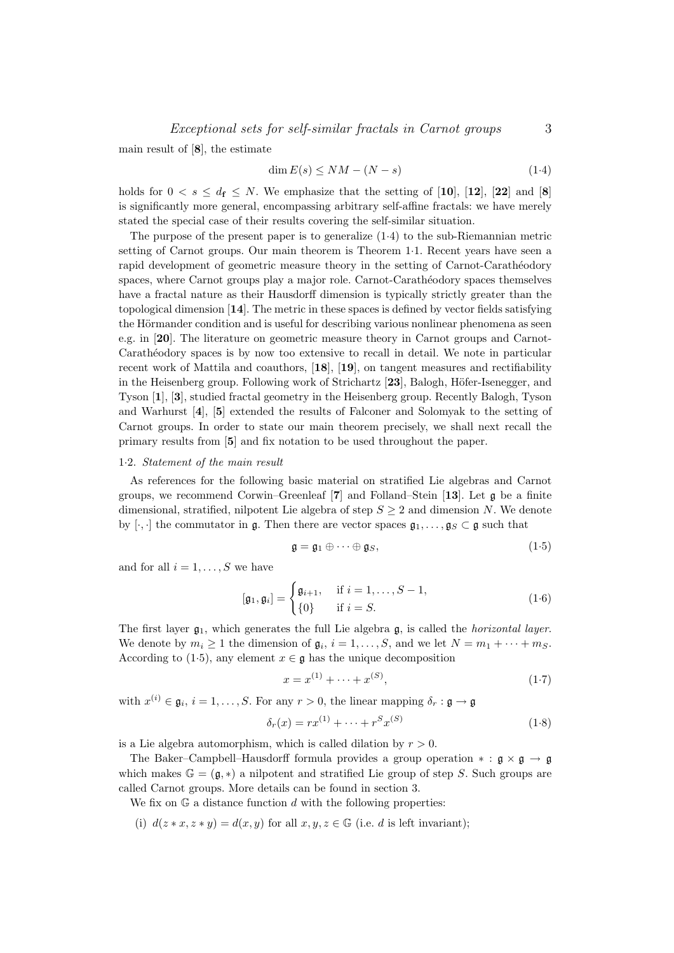main result of [8], the estimate

$$
\dim E(s) \le NM - (N - s) \tag{1-4}
$$

holds for  $0 < s \leq d_f \leq N$ . We emphasize that the setting of [10], [12], [22] and [8] is significantly more general, encompassing arbitrary self-affine fractals: we have merely stated the special case of their results covering the self-similar situation.

The purpose of the present paper is to generalize (1·4) to the sub-Riemannian metric setting of Carnot groups. Our main theorem is Theorem 1·1. Recent years have seen a rapid development of geometric measure theory in the setting of Carnot-Carathéodory spaces, where Carnot groups play a major role. Carnot-Carathéodory spaces themselves have a fractal nature as their Hausdorff dimension is typically strictly greater than the topological dimension [14]. The metric in these spaces is defined by vector fields satisfying the Hörmander condition and is useful for describing various nonlinear phenomena as seen e.g. in [20]. The literature on geometric measure theory in Carnot groups and Carnot-Carathéodory spaces is by now too extensive to recall in detail. We note in particular recent work of Mattila and coauthors, [18], [19], on tangent measures and rectifiability in the Heisenberg group. Following work of Strichartz  $[23]$ , Balogh, Höfer-Isenegger, and Tyson [1], [3], studied fractal geometry in the Heisenberg group. Recently Balogh, Tyson and Warhurst [4], [5] extended the results of Falconer and Solomyak to the setting of Carnot groups. In order to state our main theorem precisely, we shall next recall the primary results from [5] and fix notation to be used throughout the paper.

#### 1·2. Statement of the main result

As references for the following basic material on stratified Lie algebras and Carnot groups, we recommend Corwin–Greenleaf  $[7]$  and Folland–Stein  $[13]$ . Let g be a finite dimensional, stratified, nilpotent Lie algebra of step  $S \geq 2$  and dimension N. We denote by  $[\cdot, \cdot]$  the commutator in  $\mathfrak{g}$ . Then there are vector spaces  $\mathfrak{g}_1, \ldots, \mathfrak{g}_S \subset \mathfrak{g}$  such that

$$
\mathfrak{g} = \mathfrak{g}_1 \oplus \cdots \oplus \mathfrak{g}_S,\tag{1-5}
$$

and for all  $i = 1, \ldots, S$  we have

$$
[\mathfrak{g}_1, \mathfrak{g}_i] = \begin{cases} \mathfrak{g}_{i+1}, & \text{if } i = 1, \dots, S-1, \\ \{0\} & \text{if } i = S. \end{cases}
$$
 (1.6)

The first layer  $\mathfrak{g}_1$ , which generates the full Lie algebra  $\mathfrak{g}_1$ , is called the *horizontal layer*. We denote by  $m_i \geq 1$  the dimension of  $\mathfrak{g}_i$ ,  $i = 1, \ldots, S$ , and we let  $N = m_1 + \cdots + m_S$ . According to (1.5), any element  $x \in \mathfrak{g}$  has the unique decomposition

$$
x = x^{(1)} + \dots + x^{(S)},\tag{1.7}
$$

with  $x^{(i)} \in \mathfrak{g}_i$ ,  $i = 1, \ldots, S$ . For any  $r > 0$ , the linear mapping  $\delta_r : \mathfrak{g} \to \mathfrak{g}$ 

$$
\delta_r(x) = rx^{(1)} + \dots + r^S x^{(S)} \tag{1.8}
$$

is a Lie algebra automorphism, which is called dilation by  $r > 0$ .

The Baker–Campbell–Hausdorff formula provides a group operation  $* : \mathfrak{g} \times \mathfrak{g} \to \mathfrak{g}$ which makes  $\mathbb{G} = (\mathfrak{g}, *)$  a nilpotent and stratified Lie group of step S. Such groups are called Carnot groups. More details can be found in section 3.

We fix on  $\mathbb{G}$  a distance function d with the following properties:

(i)  $d(z*x, z*y) = d(x, y)$  for all  $x, y, z \in \mathbb{G}$  (i.e. d is left invariant);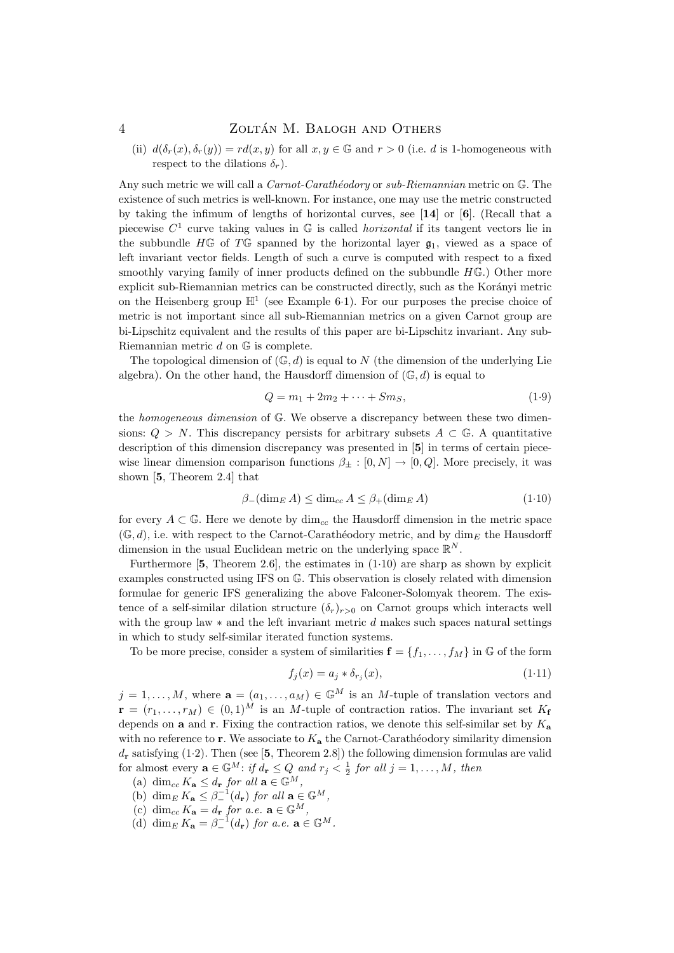(ii)  $d(\delta_r(x), \delta_r(y)) = rd(x, y)$  for all  $x, y \in \mathbb{G}$  and  $r > 0$  (i.e. d is 1-homogeneous with respect to the dilations  $\delta_r$ ).

Any such metric we will call a  $Carnot-Carathéodory$  or  $sub-Riemannian$  metric on  $\mathbb{G}$ . The existence of such metrics is well-known. For instance, one may use the metric constructed by taking the infimum of lengths of horizontal curves, see [14] or [6]. (Recall that a piecewise  $C^1$  curve taking values in  $\mathbb G$  is called *horizontal* if its tangent vectors lie in the subbundle  $H\mathbb{G}$  of  $T\mathbb{G}$  spanned by the horizontal layer  $\mathfrak{g}_1$ , viewed as a space of left invariant vector fields. Length of such a curve is computed with respect to a fixed smoothly varying family of inner products defined on the subbundle  $H\mathbb{G}$ .) Other more explicit sub-Riemannian metrics can be constructed directly, such as the Korányi metric on the Heisenberg group  $\mathbb{H}^1$  (see Example 6.1). For our purposes the precise choice of metric is not important since all sub-Riemannian metrics on a given Carnot group are bi-Lipschitz equivalent and the results of this paper are bi-Lipschitz invariant. Any sub-Riemannian metric d on G is complete.

The topological dimension of  $(\mathbb{G}, d)$  is equal to N (the dimension of the underlying Lie algebra). On the other hand, the Hausdorff dimension of  $(\mathbb{G}, d)$  is equal to

$$
Q = m_1 + 2m_2 + \dots + Sm_S, \tag{1.9}
$$

the homogeneous dimension of G. We observe a discrepancy between these two dimensions:  $Q > N$ . This discrepancy persists for arbitrary subsets  $A \subset \mathbb{G}$ . A quantitative description of this dimension discrepancy was presented in [5] in terms of certain piecewise linear dimension comparison functions  $\beta_{\pm} : [0, N] \rightarrow [0, Q]$ . More precisely, it was shown [5, Theorem 2.4] that

$$
\beta_{-}(\dim_{E} A) \le \dim_{cc} A \le \beta_{+}(\dim_{E} A)
$$
\n(1.10)

for every  $A \subset \mathbb{G}$ . Here we denote by  $\dim_{cc}$  the Hausdorff dimension in the metric space  $(\mathbb{G}, d)$ , i.e. with respect to the Carnot-Carathéodory metric, and by dim<sub>E</sub> the Hausdorff dimension in the usual Euclidean metric on the underlying space  $\mathbb{R}^N$ .

Furthermore  $[5,$  Theorem 2.6, the estimates in  $(1.10)$  are sharp as shown by explicit examples constructed using IFS on G. This observation is closely related with dimension formulae for generic IFS generalizing the above Falconer-Solomyak theorem. The existence of a self-similar dilation structure  $(\delta_r)_{r>0}$  on Carnot groups which interacts well with the group law  $*$  and the left invariant metric d makes such spaces natural settings in which to study self-similar iterated function systems.

To be more precise, consider a system of similarities  $f = \{f_1, \ldots, f_M\}$  in G of the form

$$
f_j(x) = a_j * \delta_{r_j}(x),\tag{1.11}
$$

 $j = 1, \ldots, M$ , where  $\mathbf{a} = (a_1, \ldots, a_M) \in \mathbb{G}^M$  is an M-tuple of translation vectors and  $\mathbf{r} = (r_1, \ldots, r_M) \in (0, 1)^M$  is an M-tuple of contraction ratios. The invariant set  $K_f$ depends on  $a$  and  $r$ . Fixing the contraction ratios, we denote this self-similar set by  $K_a$ with no reference to r. We associate to  $K_a$  the Carnot-Carathéodory similarity dimension  $d_{\mathbf{r}}$  satisfying (1.2). Then (see [5, Theorem 2.8]) the following dimension formulas are valid for almost every  $\mathbf{a} \in \mathbb{G}^M$ : if  $d_{\mathbf{r}} \leq Q$  and  $r_j < \frac{1}{2}$  for all  $j = 1, ..., M$ , then

- (a)  $\dim_{cc} K_{\mathbf{a}} \leq d_{\mathbf{r}}$  for all  $\mathbf{a} \in \mathbb{G}^M$ ,
- (b) dim<sub>E</sub>  $K_{\mathbf{a}} \leq \beta^{-1}_-(d_{\mathbf{r}})$  for all  $\mathbf{a} \in \mathbb{G}^M$ ,
- (c) dim<sub>cc</sub>  $K_{\mathbf{a}} = d_{\mathbf{r}}$  for a.e.  $\mathbf{a} \in \mathbb{G}^{M}$ ,
- (d) dim<sub>E</sub>  $K_{\mathbf{a}} = \beta^{-1} (d_{\mathbf{r}})$  for a.e.  $\mathbf{a} \in \mathbb{G}^M$ .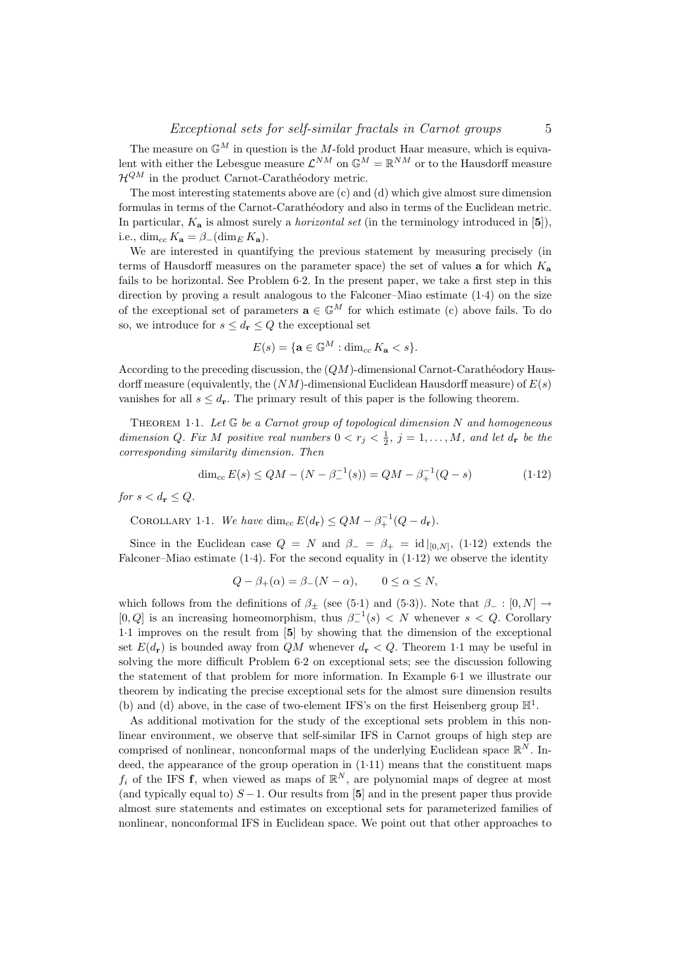The measure on  $\mathbb{G}^M$  in question is the M-fold product Haar measure, which is equivalent with either the Lebesgue measure  $\mathcal{L}^{NM}$  on  $\mathbb{G}^M = \mathbb{R}^{NM}$  or to the Hausdorff measure  $\mathcal{H}^{QM}$  in the product Carnot-Carathéodory metric.

The most interesting statements above are (c) and (d) which give almost sure dimension formulas in terms of the Carnot-Carathéodory and also in terms of the Euclidean metric. In particular,  $K_a$  is almost surely a *horizontal set* (in the terminology introduced in [5]), i.e., dim<sub>cc</sub>  $K_{\mathbf{a}} = \beta_{-}(\dim_{E} K_{\mathbf{a}})$ .

We are interested in quantifying the previous statement by measuring precisely (in terms of Hausdorff measures on the parameter space) the set of values **a** for which  $K_a$ fails to be horizontal. See Problem 6·2. In the present paper, we take a first step in this direction by proving a result analogous to the Falconer–Miao estimate (1·4) on the size of the exceptional set of parameters  $\mathbf{a} \in \mathbb{G}^M$  for which estimate (c) above fails. To do so, we introduce for  $s \leq d_{\mathbf{r}} \leq Q$  the exceptional set

$$
E(s) = \{ \mathbf{a} \in \mathbb{G}^M : \dim_{cc} K_\mathbf{a} < s \}.
$$

According to the preceding discussion, the  $(QM)$ -dimensional Carnot-Carathéodory Hausdorff measure (equivalently, the  $(NM)$ -dimensional Euclidean Hausdorff measure) of  $E(s)$ vanishes for all  $s \leq d_r$ . The primary result of this paper is the following theorem.

THEOREM 1.1. Let  $\mathbb G$  be a Carnot group of topological dimension N and homogeneous dimension Q. Fix M positive real numbers  $0 < r_j < \frac{1}{2}$ ,  $j = 1, ..., M$ , and let  $d_r$  be the corresponding similarity dimension. Then

$$
\dim_{cc} E(s) \le QM - (N - \beta^{-1}(s)) = QM - \beta^{-1}_+(Q - s) \tag{1.12}
$$

for  $s < d_r \leq Q$ .

COROLLARY 1.1. We have  $\dim_{cc} E(d_{\mathbf{r}}) \leq QM - \beta_+^{-1}(Q - d_{\mathbf{r}})$ .

Since in the Euclidean case  $Q = N$  and  $\beta_- = \beta_+ = id|_{[0,N]},$  (1·12) extends the Falconer–Miao estimate  $(1.4)$ . For the second equality in  $(1.12)$  we observe the identity

$$
Q - \beta_+(\alpha) = \beta_-(N - \alpha), \qquad 0 \le \alpha \le N,
$$

which follows from the definitions of  $\beta_+$  (see (5·1) and (5·3)). Note that  $\beta_- : [0, N] \rightarrow$ [0, Q] is an increasing homeomorphism, thus  $\beta^{-1}(s) < N$  whenever  $s < Q$ . Corollary 1·1 improves on the result from [5] by showing that the dimension of the exceptional set  $E(d_{\mathbf{r}})$  is bounded away from QM whenever  $d_{\mathbf{r}} < Q$ . Theorem 1.1 may be useful in solving the more difficult Problem 6·2 on exceptional sets; see the discussion following the statement of that problem for more information. In Example 6·1 we illustrate our theorem by indicating the precise exceptional sets for the almost sure dimension results (b) and (d) above, in the case of two-element IFS's on the first Heisenberg group  $\mathbb{H}^1$ .

As additional motivation for the study of the exceptional sets problem in this nonlinear environment, we observe that self-similar IFS in Carnot groups of high step are comprised of nonlinear, nonconformal maps of the underlying Euclidean space  $\mathbb{R}^N$ . Indeed, the appearance of the group operation in  $(1.11)$  means that the constituent maps  $f_i$  of the IFS f, when viewed as maps of  $\mathbb{R}^N$ , are polynomial maps of degree at most (and typically equal to)  $S - 1$ . Our results from [5] and in the present paper thus provide almost sure statements and estimates on exceptional sets for parameterized families of nonlinear, nonconformal IFS in Euclidean space. We point out that other approaches to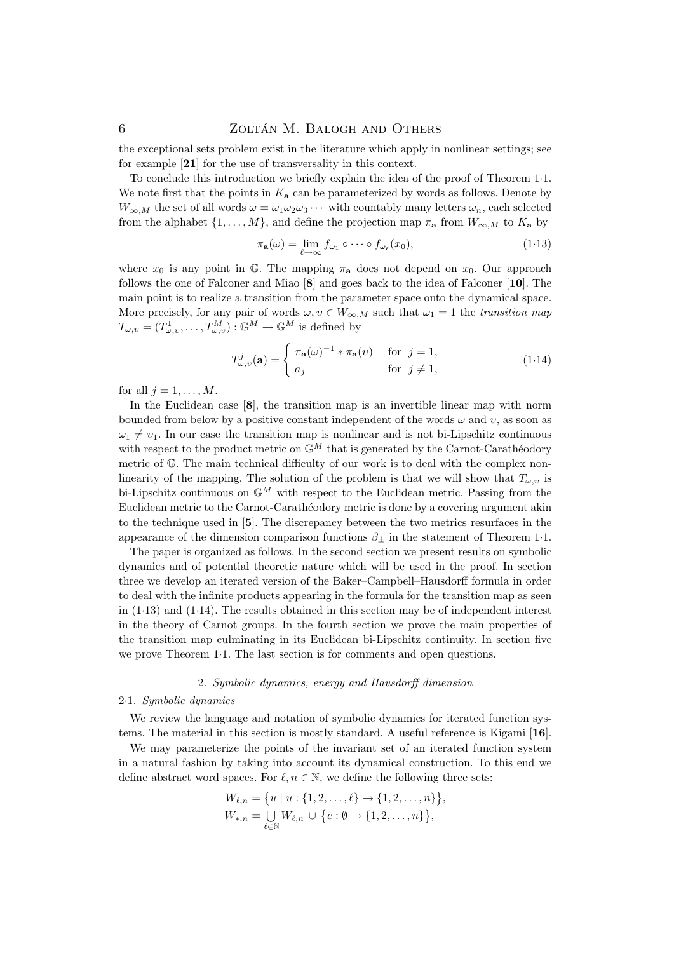the exceptional sets problem exist in the literature which apply in nonlinear settings; see for example [21] for the use of transversality in this context.

To conclude this introduction we briefly explain the idea of the proof of Theorem 1·1. We note first that the points in  $K_a$  can be parameterized by words as follows. Denote by  $W_{\infty,M}$  the set of all words  $\omega = \omega_1 \omega_2 \omega_3 \cdots$  with countably many letters  $\omega_n$ , each selected from the alphabet  $\{1, \ldots, M\}$ , and define the projection map  $\pi_{\mathbf{a}}$  from  $W_{\infty,M}$  to  $K_{\mathbf{a}}$  by

$$
\pi_{\mathbf{a}}(\omega) = \lim_{\ell \to \infty} f_{\omega_1} \circ \cdots \circ f_{\omega_\ell}(x_0), \tag{1.13}
$$

where  $x_0$  is any point in G. The mapping  $\pi_a$  does not depend on  $x_0$ . Our approach follows the one of Falconer and Miao [8] and goes back to the idea of Falconer [10]. The main point is to realize a transition from the parameter space onto the dynamical space. More precisely, for any pair of words  $\omega, v \in W_{\infty,M}$  such that  $\omega_1 = 1$  the transition map  $T_{\omega,v} = (T^1_{\omega,v}, \ldots, T^M_{\omega,v}): \mathbb{G}^M \to \mathbb{G}^M$  is defined by

$$
T_{\omega,\upsilon}^{j}(\mathbf{a}) = \begin{cases} \pi_{\mathbf{a}}(\omega)^{-1} * \pi_{\mathbf{a}}(\upsilon) & \text{for } j = 1, \\ a_{j} & \text{for } j \neq 1, \end{cases}
$$
(1.14)

for all  $i = 1, \ldots, M$ .

In the Euclidean case [8], the transition map is an invertible linear map with norm bounded from below by a positive constant independent of the words  $\omega$  and  $\upsilon$ , as soon as  $\omega_1 \neq \nu_1$ . In our case the transition map is nonlinear and is not bi-Lipschitz continuous with respect to the product metric on  $\mathbb{G}^M$  that is generated by the Carnot-Carathéodory metric of G. The main technical difficulty of our work is to deal with the complex nonlinearity of the mapping. The solution of the problem is that we will show that  $T_{\omega, v}$  is bi-Lipschitz continuous on  $\mathbb{G}^M$  with respect to the Euclidean metric. Passing from the Euclidean metric to the Carnot-Caratheodory metric is done by a covering argument akin to the technique used in [5]. The discrepancy between the two metrics resurfaces in the appearance of the dimension comparison functions  $\beta_{\pm}$  in the statement of Theorem 1.1.

The paper is organized as follows. In the second section we present results on symbolic dynamics and of potential theoretic nature which will be used in the proof. In section three we develop an iterated version of the Baker–Campbell–Hausdorff formula in order to deal with the infinite products appearing in the formula for the transition map as seen in (1·13) and (1·14). The results obtained in this section may be of independent interest in the theory of Carnot groups. In the fourth section we prove the main properties of the transition map culminating in its Euclidean bi-Lipschitz continuity. In section five we prove Theorem 1·1. The last section is for comments and open questions.

#### 2. Symbolic dynamics, energy and Hausdorff dimension

### 2·1. Symbolic dynamics

We review the language and notation of symbolic dynamics for iterated function systems. The material in this section is mostly standard. A useful reference is Kigami [16].

We may parameterize the points of the invariant set of an iterated function system in a natural fashion by taking into account its dynamical construction. To this end we define abstract word spaces. For  $\ell, n \in \mathbb{N}$ , we define the following three sets:

$$
W_{\ell,n} = \{u \mid u : \{1, 2, \dots, \ell\} \to \{1, 2, \dots, n\}\},
$$
  

$$
W_{*,n} = \bigcup_{\ell \in \mathbb{N}} W_{\ell,n} \cup \{e : \emptyset \to \{1, 2, \dots, n\}\},
$$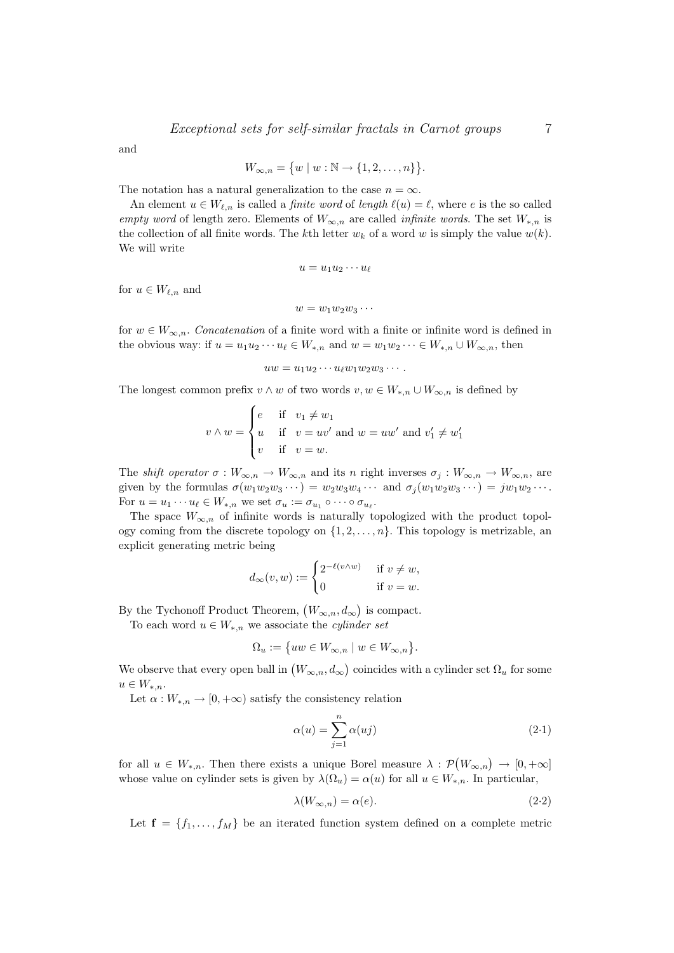and

$$
W_{\infty,n} = \{w \mid w : \mathbb{N} \to \{1,2,\ldots,n\}\}.
$$

The notation has a natural generalization to the case  $n = \infty$ .

An element  $u \in W_{\ell,n}$  is called a *finite word* of *length*  $\ell(u) = \ell$ , where e is the so called empty word of length zero. Elements of  $W_{\infty,n}$  are called *infinite words*. The set  $W_{*,n}$  is the collection of all finite words. The kth letter  $w_k$  of a word w is simply the value  $w(k)$ . We will write

$$
u = u_1 u_2 \cdots u_\ell
$$

for  $u \in W_{\ell,n}$  and

$$
w=w_1w_2w_3\cdots
$$

for  $w \in W_{\infty,n}$ . Concatenation of a finite word with a finite or infinite word is defined in the obvious way: if  $u = u_1u_2 \cdots u_\ell \in W_{*,n}$  and  $w = w_1w_2 \cdots \in W_{*,n} \cup W_{\infty,n}$ , then

$$
uw = u_1u_2\cdots u_{\ell}w_1w_2w_3\cdots.
$$

The longest common prefix  $v \wedge w$  of two words  $v, w \in W_{*,n} \cup W_{\infty,n}$  is defined by

$$
v \wedge w = \begin{cases} e & \text{if } v_1 \neq w_1 \\ u & \text{if } v = uv' \text{ and } w = uw' \text{ and } v'_1 \neq w'_1 \\ v & \text{if } v = w. \end{cases}
$$

The *shift operator*  $\sigma : W_{\infty,n} \to W_{\infty,n}$  and its n right inverses  $\sigma_j : W_{\infty,n} \to W_{\infty,n}$ , are given by the formulas  $\sigma(w_1w_2w_3\cdots) = w_2w_3w_4\cdots$  and  $\sigma_j(w_1w_2w_3\cdots) = jw_1w_2\cdots$ . For  $u = u_1 \cdots u_\ell \in W_{*,n}$  we set  $\sigma_u := \sigma_{u_1} \circ \cdots \circ \sigma_{u_\ell}$ .

The space  $W_{\infty,n}$  of infinite words is naturally topologized with the product topology coming from the discrete topology on  $\{1, 2, \ldots, n\}$ . This topology is metrizable, an explicit generating metric being

$$
d_{\infty}(v, w) := \begin{cases} 2^{-\ell(v \wedge w)} & \text{if } v \neq w, \\ 0 & \text{if } v = w. \end{cases}
$$

By the Tychonoff Product Theorem,  $(W_{\infty,n}, d_{\infty})$  is compact.

To each word  $u \in W_{*,n}$  we associate the *cylinder set* 

$$
\Omega_u := \{ uw \in W_{\infty,n} \mid w \in W_{\infty,n} \}.
$$

We observe that every open ball in  $(W_{\infty,n}, d_{\infty})$  coincides with a cylinder set  $\Omega_u$  for some  $u \in W_{*,n}.$ 

Let  $\alpha: W_{*,n} \to [0, +\infty)$  satisfy the consistency relation

$$
\alpha(u) = \sum_{j=1}^{n} \alpha(uj) \tag{2.1}
$$

for all  $u \in W_{*,n}$ . Then there exists a unique Borel measure  $\lambda : \mathcal{P}(W_{\infty,n}) \to [0,+\infty]$ whose value on cylinder sets is given by  $\lambda(\Omega_u) = \alpha(u)$  for all  $u \in W_{*,n}$ . In particular,

$$
\lambda(W_{\infty,n}) = \alpha(e). \tag{2.2}
$$

Let  $f = \{f_1, \ldots, f_M\}$  be an iterated function system defined on a complete metric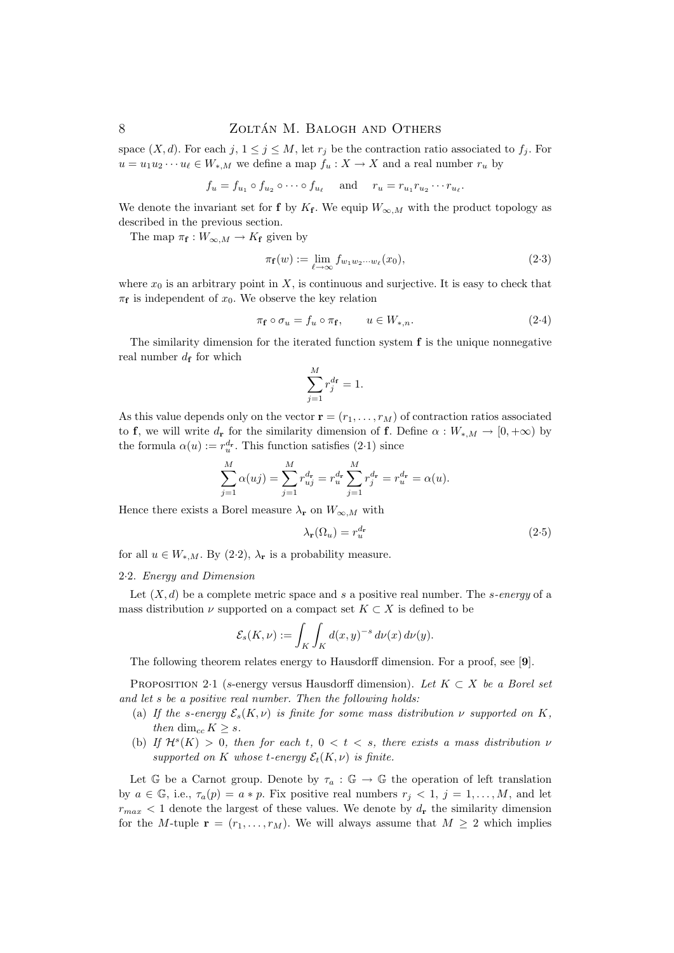space  $(X, d)$ . For each  $j, 1 \leq j \leq M$ , let  $r_j$  be the contraction ratio associated to  $f_j$ . For  $u = u_1 u_2 \cdots u_\ell \in W_{*,M}$  we define a map  $f_u : X \to X$  and a real number  $r_u$  by

$$
f_u = f_{u_1} \circ f_{u_2} \circ \cdots \circ f_{u_\ell} \quad \text{and} \quad r_u = r_{u_1} r_{u_2} \cdots r_{u_\ell}.
$$

We denote the invariant set for **f** by  $K_f$ . We equip  $W_{\infty,M}$  with the product topology as described in the previous section.

The map  $\pi_{\mathbf{f}} : W_{\infty,M} \to K_{\mathbf{f}}$  given by

$$
\pi_{\mathbf{f}}(w) := \lim_{\ell \to \infty} f_{w_1 w_2 \cdots w_\ell}(x_0),\tag{2-3}
$$

where  $x_0$  is an arbitrary point in X, is continuous and surjective. It is easy to check that  $\pi_{\mathbf{f}}$  is independent of  $x_0$ . We observe the key relation

$$
\pi_{\mathbf{f}} \circ \sigma_u = f_u \circ \pi_{\mathbf{f}}, \qquad u \in W_{*,n}.\tag{2-4}
$$

The similarity dimension for the iterated function system  $f$  is the unique nonnegative real number  $d_f$  for which

$$
\sum_{j=1}^{M} r_j^{d_{\mathbf{f}}} = 1.
$$

As this value depends only on the vector  $\mathbf{r} = (r_1, \ldots, r_M)$  of contraction ratios associated to f, we will write  $d_r$  for the similarity dimension of f. Define  $\alpha : W_{*,M} \to [0, +\infty)$  by the formula  $\alpha(u) := r_u^{d_r}$ . This function satisfies (2.1) since

$$
\sum_{j=1}^{M} \alpha(uj) = \sum_{j=1}^{M} r_{uj}^{d_{\mathbf{r}}} = r_u^{d_{\mathbf{r}}} \sum_{j=1}^{M} r_j^{d_{\mathbf{r}}} = r_u^{d_{\mathbf{r}}} = \alpha(u).
$$

Hence there exists a Borel measure  $\lambda_{\mathbf{r}}$  on  $W_{\infty,M}$  with

$$
\lambda_{\mathbf{r}}(\Omega_u) = r_u^{d_{\mathbf{r}}} \tag{2.5}
$$

for all  $u \in W_{*,M}$ . By (2·2),  $\lambda_{\mathbf{r}}$  is a probability measure.

#### 2·2. Energy and Dimension

Let  $(X, d)$  be a complete metric space and s a positive real number. The s-energy of a mass distribution  $\nu$  supported on a compact set  $K \subset X$  is defined to be

$$
\mathcal{E}_s(K,\nu) := \int_K \int_K d(x,y)^{-s} \, d\nu(x) \, d\nu(y).
$$

The following theorem relates energy to Hausdorff dimension. For a proof, see [9].

PROPOSITION 2·1 (s-energy versus Hausdorff dimension). Let  $K \subset X$  be a Borel set and let s be a positive real number. Then the following holds:

- (a) If the s-energy  $\mathcal{E}_s(K, \nu)$  is finite for some mass distribution  $\nu$  supported on K, then dim<sub>cc</sub>  $K \geq s$ .
- (b) If  $\mathcal{H}^s(K) > 0$ , then for each t,  $0 < t < s$ , there exists a mass distribution  $\nu$ supported on K whose t-energy  $\mathcal{E}_t(K,\nu)$  is finite.

Let G be a Carnot group. Denote by  $\tau_a : \mathbb{G} \to \mathbb{G}$  the operation of left translation by  $a \in \mathbb{G}$ , i.e.,  $\tau_a(p) = a * p$ . Fix positive real numbers  $r_j < 1$ ,  $j = 1, ..., M$ , and let  $r_{max}$  < 1 denote the largest of these values. We denote by  $d_{\bf r}$  the similarity dimension for the M-tuple  $\mathbf{r} = (r_1, \ldots, r_M)$ . We will always assume that  $M \geq 2$  which implies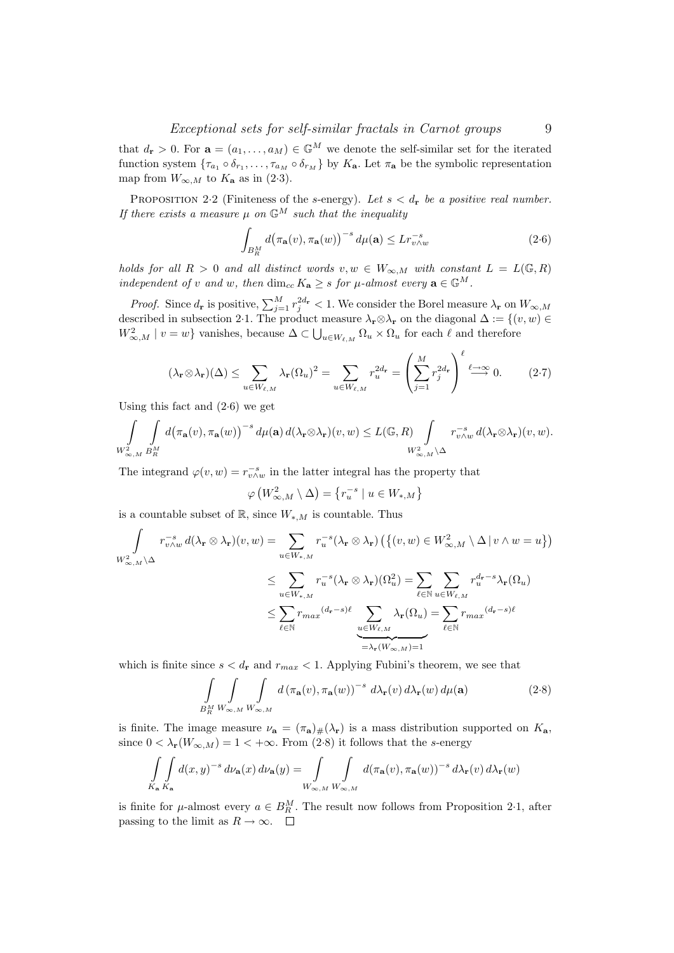that  $d_r > 0$ . For  $\mathbf{a} = (a_1, \ldots, a_M) \in \mathbb{G}^M$  we denote the self-similar set for the iterated function system  $\{\tau_{a_1} \circ \delta_{r_1}, \ldots, \tau_{a_M} \circ \delta_{r_M}\}$  by  $K_{\mathbf{a}}$ . Let  $\pi_{\mathbf{a}}$  be the symbolic representation map from  $W_{\infty,M}$  to  $K_{\mathbf{a}}$  as in (2·3).

PROPOSITION 2.2 (Finiteness of the s-energy). Let  $s < d_r$  be a positive real number. If there exists a measure  $\mu$  on  $\mathbb{G}^M$  such that the inequality

$$
\int_{B_R^M} d\big(\pi_\mathbf{a}(v), \pi_\mathbf{a}(w)\big)^{-s} d\mu(\mathbf{a}) \le L r_{v \wedge w}^{-s}
$$
\n(2.6)

holds for all  $R > 0$  and all distinct words  $v, w \in W_{\infty,M}$  with constant  $L = L(\mathbb{G}, R)$ independent of v and w, then  $\dim_{cc} K_{\mathbf{a}} \geq s$  for  $\mu$ -almost every  $\mathbf{a} \in \mathbb{G}^M$ .

*Proof.* Since  $d_r$  is positive,  $\sum_{j=1}^{M} r_j^{2d_r} < 1$ . We consider the Borel measure  $\lambda_r$  on  $W_{\infty,M}$ described in subsection 2·1. The product measure  $\lambda_{\mathbf{r}} \otimes \lambda_{\mathbf{r}}$  on the diagonal  $\Delta := \{(v, w) \in$  $W_{\infty,M}^2 \mid v = w$ } vanishes, because  $\Delta \subset \bigcup_{u \in W_{\ell,M}} \Omega_u \times \Omega_u$  for each  $\ell$  and therefore

$$
(\lambda_{\mathbf{r}} \otimes \lambda_{\mathbf{r}})(\Delta) \leq \sum_{u \in W_{\ell,M}} \lambda_{\mathbf{r}}(\Omega_u)^2 = \sum_{u \in W_{\ell,M}} r_u^{2d_{\mathbf{r}}} = \left(\sum_{j=1}^M r_j^{2d_{\mathbf{r}}}\right)^{\ell} \stackrel{\ell \to \infty}{\longrightarrow} 0. \tag{2.7}
$$

Using this fact and (2·6) we get

$$
\int_{W^2_{\infty,M}} \int_{B_R^M} d(\pi_{\mathbf{a}}(v), \pi_{\mathbf{a}}(w))^{-s} d\mu(\mathbf{a}) d(\lambda_{\mathbf{r}} \otimes \lambda_{\mathbf{r}})(v, w) \leq L(\mathbb{G}, R) \int_{W^2_{\infty,M} \backslash \Delta} r_{v \wedge w}^{-s} d(\lambda_{\mathbf{r}} \otimes \lambda_{\mathbf{r}})(v, w).
$$

The integrand  $\varphi(v, w) = r_{v \wedge w}^{-s}$  in the latter integral has the property that

$$
\varphi\left(W_{\infty,M}^2 \setminus \Delta\right) = \left\{r_u^{-s} \mid u \in W_{*,M}\right\}
$$

is a countable subset of  $\mathbb{R}$ , since  $W_{*,M}$  is countable. Thus

$$
\int_{W_{\infty,M}^2 \backslash \Delta} r_{v \wedge w}^{-s} d(\lambda_{\mathbf{r}} \otimes \lambda_{\mathbf{r}})(v, w) = \sum_{u \in W_{*,M}} r_u^{-s} (\lambda_{\mathbf{r}} \otimes \lambda_{\mathbf{r}}) \left( \left\{ (v, w) \in W_{\infty,M}^2 \setminus \Delta \, | \, v \wedge w = u \right\} \right)
$$
\n
$$
\leq \sum_{u \in W_{*,M}} r_u^{-s} (\lambda_{\mathbf{r}} \otimes \lambda_{\mathbf{r}}) (\Omega_u^2) = \sum_{\ell \in \mathbb{N}} \sum_{u \in W_{\ell,M}} r_u^{d_{\mathbf{r}} - s} \lambda_{\mathbf{r}} (\Omega_u)
$$
\n
$$
\leq \sum_{\ell \in \mathbb{N}} r_{max}^{d_{\mathbf{r}} - s} (\lambda_{\mathbf{r}} \otimes \lambda_{\mathbf{r}}) (\Omega_u^2) = \sum_{\ell \in \mathbb{N}} \sum_{u \in W_{\ell,M}} r_u^{d_{\mathbf{r}} - s} \lambda_{\mathbf{r}} (\Omega_u)
$$
\n
$$
\leq \sum_{\ell \in \mathbb{N}} r_{max}^{d_{\mathbf{r}} - s} (\lambda_{\mathbf{r}} \otimes \lambda_{\mathbf{r}}) (\Omega_u^2) = \sum_{\ell \in \mathbb{N}} r_{max}^{d_{\mathbf{r}} - s} (\lambda_{\mathbf{r}} \otimes \lambda_{\mathbf{r}}) (\Omega_u^2) = \sum_{\ell \in \mathbb{N}} r_{max}^{d_{\mathbf{r}} - s} (\lambda_{\mathbf{r}} \otimes \lambda_{\mathbf{r}}) (\Omega_u^2) = \sum_{\ell \in \mathbb{N}} r_{max}^{d_{\mathbf{r}} - s} (\lambda_{\mathbf{r}} \otimes \lambda_{\mathbf{r}}) (\Omega_u^2) = \sum_{\ell \in \mathbb{N}} r_{max}^{d_{\mathbf{r}} - s} (\lambda_{\mathbf{r}} \otimes \lambda_{\mathbf{r}}) (\Omega_u^2) = \sum_{\ell \in \mathbb{N}} r_{max}^{d_{\mathbf{r}} - s} (\lambda_{\mathbf{r}} \otimes \lambda_{\mathbf{r}}) (\Omega_u^2) = \sum_{\ell \in \mathbb{N}} r_{max}^{d_{\mathbf{r}} - s} (\
$$

which is finite since  $s < d_r$  and  $r_{max} < 1$ . Applying Fubini's theorem, we see that

$$
\int_{B_R^M} \int_{W_{\infty,M}} \int_{W_{\infty,M}} d(\pi_\mathbf{a}(v), \pi_\mathbf{a}(w))^{-s} d\lambda_\mathbf{r}(v) d\lambda_\mathbf{r}(w) d\mu(\mathbf{a})
$$
\n(2.8)

is finite. The image measure  $\nu_a = (\pi_a)_\#(\lambda_r)$  is a mass distribution supported on  $K_a$ , since  $0 < \lambda_{\mathbf{r}}(W_{\infty,M}) = 1 < +\infty$ . From (2·8) it follows that the s-energy

$$
\int_{K_{\mathbf{a}}} \int_{K_{\mathbf{a}}} d(x, y)^{-s} d\nu_{\mathbf{a}}(x) d\nu_{\mathbf{a}}(y) = \int_{W_{\infty, M}} \int_{W_{\infty, M}} d(\pi_{\mathbf{a}}(v), \pi_{\mathbf{a}}(w))^{-s} d\lambda_{\mathbf{r}}(v) d\lambda_{\mathbf{r}}(w)
$$

is finite for  $\mu$ -almost every  $a \in B_R^M$ . The result now follows from Proposition 2·1, after passing to the limit as  $R \to \infty$ .  $\square$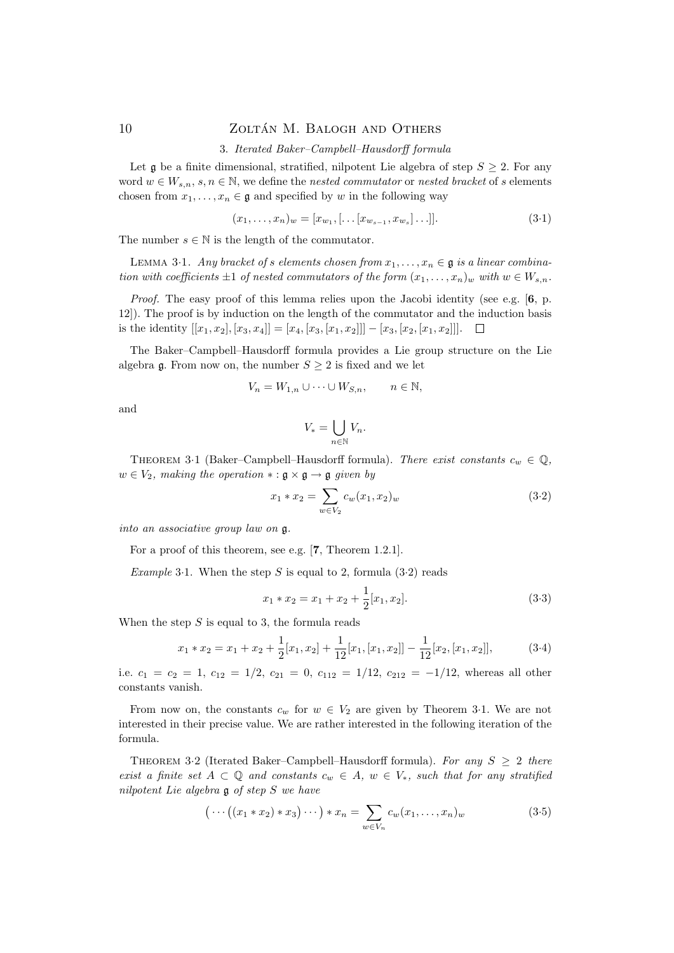### 3. Iterated Baker–Campbell–Hausdorff formula

Let g be a finite dimensional, stratified, nilpotent Lie algebra of step  $S \geq 2$ . For any word  $w \in W_{s,n}$ ,  $s, n \in \mathbb{N}$ , we define the nested commutator or nested bracket of s elements chosen from  $x_1, \ldots, x_n \in \mathfrak{g}$  and specified by w in the following way

$$
(x_1, \ldots, x_n)_w = [x_{w_1}, [\ldots [x_{w_{s-1}}, x_{w_s}] \ldots]].
$$
\n(3.1)

The number  $s \in \mathbb{N}$  is the length of the commutator.

LEMMA 3.1. Any bracket of s elements chosen from  $x_1, \ldots, x_n \in \mathfrak{g}$  is a linear combination with coefficients  $\pm 1$  of nested commutators of the form  $(x_1, \ldots, x_n)_w$  with  $w \in W_{s,n}$ .

Proof. The easy proof of this lemma relies upon the Jacobi identity (see e.g. [6, p. 12]). The proof is by induction on the length of the commutator and the induction basis is the identity  $[[x_1, x_2], [x_3, x_4]] = [x_4, [x_3, [x_1, x_2]]] - [x_3, [x_2, [x_1, x_2]]]$ .  $\Box$ 

The Baker–Campbell–Hausdorff formula provides a Lie group structure on the Lie algebra g. From now on, the number  $S \geq 2$  is fixed and we let

$$
V_n = W_{1,n} \cup \cdots \cup W_{S,n}, \qquad n \in \mathbb{N},
$$

and

$$
V_* = \bigcup_{n \in \mathbb{N}} V_n.
$$

THEOREM 3·1 (Baker–Campbell–Hausdorff formula). There exist constants  $c_w \in \mathbb{Q}$ ,  $w \in V_2$ , making the operation  $\ast : \mathfrak{g} \times \mathfrak{g} \to \mathfrak{g}$  given by

$$
x_1 * x_2 = \sum_{w \in V_2} c_w(x_1, x_2)_w \tag{3.2}
$$

into an associative group law on g.

For a proof of this theorem, see e.g. [7, Theorem 1.2.1].

*Example* 3.1. When the step S is equal to 2, formula  $(3.2)$  reads

$$
x_1 * x_2 = x_1 + x_2 + \frac{1}{2}[x_1, x_2].
$$
\n(3.3)

When the step  $S$  is equal to 3, the formula reads

$$
x_1 * x_2 = x_1 + x_2 + \frac{1}{2}[x_1, x_2] + \frac{1}{12}[x_1, [x_1, x_2]] - \frac{1}{12}[x_2, [x_1, x_2]],
$$
\n(3.4)

i.e.  $c_1 = c_2 = 1$ ,  $c_{12} = 1/2$ ,  $c_{21} = 0$ ,  $c_{112} = 1/12$ ,  $c_{212} = -1/12$ , whereas all other constants vanish.

From now on, the constants  $c_w$  for  $w \in V_2$  are given by Theorem 3.1. We are not interested in their precise value. We are rather interested in the following iteration of the formula.

THEOREM 3.2 (Iterated Baker–Campbell–Hausdorff formula). For any  $S \geq 2$  there exist a finite set  $A \subset \mathbb{Q}$  and constants  $c_w \in A$ ,  $w \in V_*$ , such that for any stratified nilpotent Lie algebra g of step S we have

$$
\left(\cdots\left(\left(x_1 \ast x_2\right) \ast x_3\right) \cdots\right) \ast x_n = \sum_{w \in V_n} c_w(x_1, \ldots, x_n)_w \tag{3.5}
$$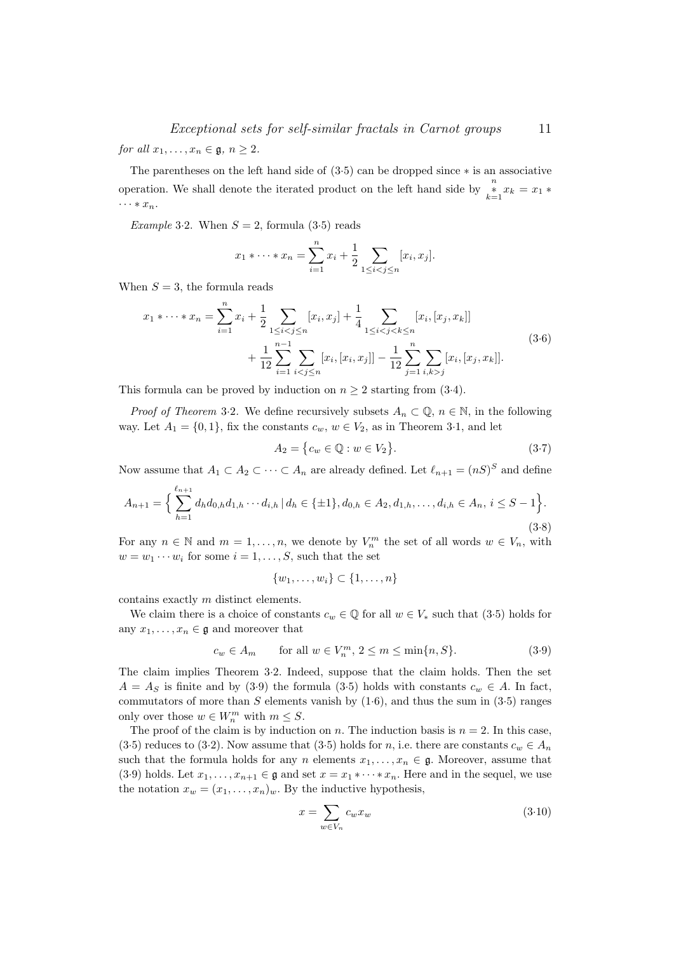for all  $x_1, \ldots, x_n \in \mathfrak{g}, n \geq 2$ .

The parentheses on the left hand side of (3·5) can be dropped since ∗ is an associative operation. We shall denote the iterated product on the left hand side by  $\sum_{k=1}^{n} x_k = x_1 *$  $\cdots * x_n$ .

Example 3.2. When  $S = 2$ , formula (3.5) reads

$$
x_1 * \cdots * x_n = \sum_{i=1}^n x_i + \frac{1}{2} \sum_{1 \leq i < j \leq n} [x_i, x_j].
$$

When  $S = 3$ , the formula reads

$$
x_1 * \dots * x_n = \sum_{i=1}^n x_i + \frac{1}{2} \sum_{1 \le i < j \le n} [x_i, x_j] + \frac{1}{4} \sum_{1 \le i < j < k \le n} [x_i, [x_j, x_k]]
$$
  
+ 
$$
\frac{1}{12} \sum_{i=1}^{n-1} \sum_{i < j \le n} [x_i, [x_i, x_j]] - \frac{1}{12} \sum_{j=1}^n \sum_{i, k > j} [x_i, [x_j, x_k]].
$$
\n
$$
(3.6)
$$

This formula can be proved by induction on  $n \geq 2$  starting from (3.4).

*Proof of Theorem* 3.2. We define recursively subsets  $A_n \subset \mathbb{Q}$ ,  $n \in \mathbb{N}$ , in the following way. Let  $A_1 = \{0, 1\}$ , fix the constants  $c_w$ ,  $w \in V_2$ , as in Theorem 3.1, and let

$$
A_2 = \{c_w \in \mathbb{Q} : w \in V_2\}.
$$
\n
$$
(3.7)
$$

Now assume that  $A_1 \subset A_2 \subset \cdots \subset A_n$  are already defined. Let  $\ell_{n+1} = (nS)^S$  and define

$$
A_{n+1} = \left\{ \sum_{h=1}^{\ell_{n+1}} d_h d_{0,h} d_{1,h} \cdots d_{i,h} \, | \, d_h \in \{\pm 1\}, d_{0,h} \in A_2, d_{1,h}, \ldots, d_{i,h} \in A_n, \, i \leq S - 1 \right\}.
$$
\n
$$
(3.8)
$$

For any  $n \in \mathbb{N}$  and  $m = 1, \ldots, n$ , we denote by  $V_n^m$  the set of all words  $w \in V_n$ , with  $w = w_1 \cdots w_i$  for some  $i = 1, \ldots, S$ , such that the set

$$
\{w_1,\ldots,w_i\}\subset\{1,\ldots,n\}
$$

contains exactly m distinct elements.

We claim there is a choice of constants  $c_w \in \mathbb{Q}$  for all  $w \in V_*$  such that (3.5) holds for any  $x_1, \ldots, x_n \in \mathfrak{g}$  and moreover that

$$
c_w \in A_m \qquad \text{for all } w \in V_n^m, \ 2 \le m \le \min\{n, S\}. \tag{3.9}
$$

The claim implies Theorem 3·2. Indeed, suppose that the claim holds. Then the set  $A = A_S$  is finite and by (3·9) the formula (3·5) holds with constants  $c_w \in A$ . In fact, commutators of more than  $S$  elements vanish by  $(1.6)$ , and thus the sum in  $(3.5)$  ranges only over those  $w \in W_n^m$  with  $m \leq S$ .

The proof of the claim is by induction on n. The induction basis is  $n = 2$ . In this case, (3·5) reduces to (3·2). Now assume that (3·5) holds for n, i.e. there are constants  $c_w \in A_n$ such that the formula holds for any n elements  $x_1, \ldots, x_n \in \mathfrak{g}$ . Moreover, assume that (3.9) holds. Let  $x_1, \ldots, x_{n+1} \in \mathfrak{g}$  and set  $x = x_1 * \cdots * x_n$ . Here and in the sequel, we use the notation  $x_w = (x_1, \ldots, x_n)_w$ . By the inductive hypothesis,

$$
x = \sum_{w \in V_n} c_w x_w \tag{3.10}
$$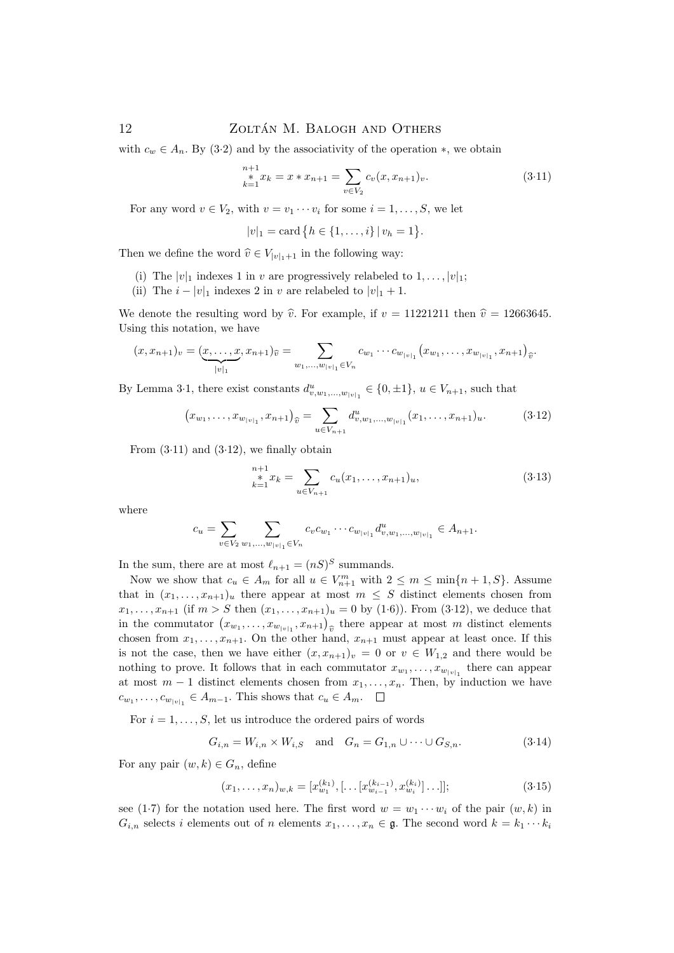with  $c_w \in A_n$ . By (3·2) and by the associativity of the operation  $\ast$ , we obtain

$$
\sum_{k=1}^{n+1} x_k = x * x_{n+1} = \sum_{v \in V_2} c_v(x, x_{n+1})_v.
$$
 (3.11)

For any word  $v \in V_2$ , with  $v = v_1 \cdots v_i$  for some  $i = 1, \ldots, S$ , we let

$$
|v|_1 = \text{card} \{ h \in \{1, \ldots, i\} \, | \, v_h = 1 \}.
$$

Then we define the word  $\hat{v} \in V_{|v|_1+1}$  in the following way:

- (i) The  $|v|_1$  indexes 1 in v are progressively relabeled to  $1, \ldots, |v|_1$ ;
- (ii) The  $i |v|_1$  indexes 2 in v are relabeled to  $|v|_1 + 1$ .

We denote the resulting word by  $\hat{v}$ . For example, if  $v = 11221211$  then  $\hat{v} = 12663645$ . Using this notation, we have

$$
(x, x_{n+1})_v = (\underbrace{x, \ldots, x}_{|v|_1}, x_{n+1})_{\widehat{v}} = \sum_{w_1, \ldots, w_{|v|_1} \in V_n} c_{w_1} \cdots c_{w_{|v|_1}} (x_{w_1}, \ldots, x_{w_{|v|_1}}, x_{n+1})_{\widehat{v}}.
$$

By Lemma 3·1, there exist constants  $d_{v,w_1,...,w_{|v|_1}}^u \in \{0, \pm 1\}$ ,  $u \in V_{n+1}$ , such that

$$
(x_{w_1}, \ldots, x_{w_{|v|_1}}, x_{n+1})_{\widehat{v}} = \sum_{u \in V_{n+1}} d_{v, w_1, \ldots, w_{|v|_1}}^u (x_1, \ldots, x_{n+1})_u.
$$
 (3.12)

From  $(3.11)$  and  $(3.12)$ , we finally obtain

$$
\sum_{k=1}^{n+1} x_k = \sum_{u \in V_{n+1}} c_u(x_1, \dots, x_{n+1})_u,
$$
\n(3.13)

where

$$
c_u = \sum_{v \in V_2} \sum_{w_1, \dots, w_{|v|_1} \in V_n} c_v c_{w_1} \cdots c_{w_{|v|_1}} d_{v, w_1, \dots, w_{|v|_1}}^u \in A_{n+1}.
$$

In the sum, there are at most  $\ell_{n+1} = (nS)^S$  summands.

Now we show that  $c_u \in A_m$  for all  $u \in V_{n+1}^m$  with  $2 \le m \le \min\{n+1, S\}$ . Assume that in  $(x_1, \ldots, x_{n+1})_u$  there appear at most  $m \leq S$  distinct elements chosen from  $x_1, \ldots, x_{n+1}$  (if  $m > S$  then  $(x_1, \ldots, x_{n+1})_u = 0$  by  $(1 \cdot 6)$ ). From  $(3 \cdot 12)$ , we deduce that in the commutator  $(x_{w_1},...,x_{w_{|v|_1}},x_{n+1})_{\hat{v}}$  there appear at most m distinct elements<br>chosen from  $x_{w_1}$  On the other hand  $x_{w_1}$  west appear at least once If this chosen from  $x_1, \ldots, x_{n+1}$ . On the other hand,  $x_{n+1}$  must appear at least once. If this is not the case, then we have either  $(x, x_{n+1})_v = 0$  or  $v \in W_{1,2}$  and there would be nothing to prove. It follows that in each commutator  $x_{w_1}, \ldots, x_{w_{|v|_1}}$  there can appear at most  $m-1$  distinct elements chosen from  $x_1, \ldots, x_n$ . Then, by induction we have  $c_{w_1}, \ldots, c_{w_{|v|_1}} \in A_{m-1}$ . This shows that  $c_u \in A_m$ .

For  $i = 1, \ldots, S$ , let us introduce the ordered pairs of words

$$
G_{i,n} = W_{i,n} \times W_{i,S} \quad \text{and} \quad G_n = G_{1,n} \cup \dots \cup G_{S,n}.
$$
\n
$$
(3.14)
$$

For any pair  $(w, k) \in G_n$ , define

$$
(x_1, \ldots, x_n)_{w,k} = [x_{w_1}^{(k_1)}, \ldots, [x_{w_{i-1}}^{(k_{i-1})}, x_{w_i}^{(k_i)}] \ldots];
$$
\n(3.15)

see (1.7) for the notation used here. The first word  $w = w_1 \cdots w_i$  of the pair  $(w, k)$  in  $G_{i,n}$  selects i elements out of n elements  $x_1, \ldots, x_n \in \mathfrak{g}$ . The second word  $k = k_1 \cdots k_i$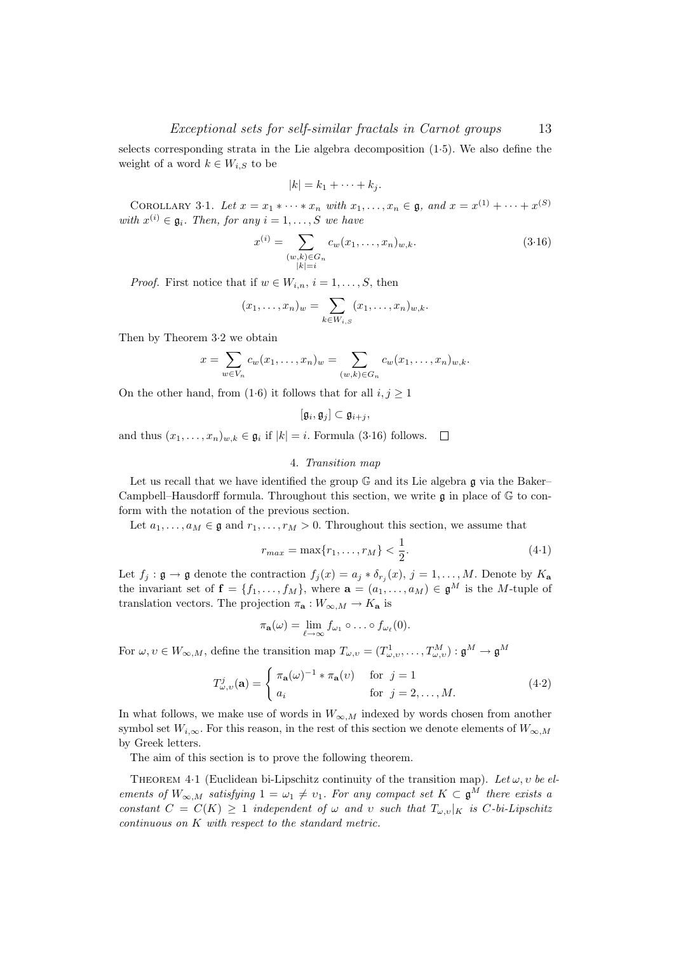selects corresponding strata in the Lie algebra decomposition (1·5). We also define the weight of a word  $k \in W_{i,S}$  to be

$$
|k|=k_1+\cdots+k_j.
$$

COROLLARY 3.1. Let  $x = x_1 * \cdots * x_n$  with  $x_1, ..., x_n \in \mathfrak{g}$ , and  $x = x^{(1)} + \cdots + x^{(S)}$ with  $x^{(i)} \in \mathfrak{g}_i$ . Then, for any  $i = 1, \ldots, S$  we have

$$
x^{(i)} = \sum_{\substack{(w,k)\in G_n \\ |k|=i}} c_w(x_1, \dots, x_n)_{w,k}.
$$
 (3.16)

*Proof.* First notice that if  $w \in W_{i,n}$ ,  $i = 1, \ldots, S$ , then

$$
(x_1,\ldots,x_n)_w=\sum_{k\in W_{i,S}}(x_1,\ldots,x_n)_{w,k}.
$$

Then by Theorem 3·2 we obtain

$$
x=\sum_{w\in V_n}c_w(x_1,\ldots,x_n)_w=\sum_{(w,k)\in G_n}c_w(x_1,\ldots,x_n)_{w,k}.
$$

On the other hand, from (1.6) it follows that for all  $i, j \geq 1$ 

$$
[\mathfrak{g}_i,\mathfrak{g}_j]\subset \mathfrak{g}_{i+j},
$$

and thus  $(x_1, \ldots, x_n)_{w,k} \in \mathfrak{g}_i$  if  $|k| = i$ . Formula (3.16) follows.

### 4. Transition map

Let us recall that we have identified the group  $\mathbb G$  and its Lie algebra  $\mathfrak g$  via the Baker– Campbell–Hausdorff formula. Throughout this section, we write  $\mathfrak g$  in place of  $\mathbb G$  to conform with the notation of the previous section.

Let  $a_1, \ldots, a_M \in \mathfrak{g}$  and  $r_1, \ldots, r_M > 0$ . Throughout this section, we assume that

$$
r_{max} = \max\{r_1, \dots, r_M\} < \frac{1}{2}.\tag{4-1}
$$

Let  $f_j: \mathfrak{g} \to \mathfrak{g}$  denote the contraction  $f_j(x) = a_j * \delta_{r_j}(x)$ ,  $j = 1, \ldots, M$ . Denote by  $K_{\mathbf{a}}$ the invariant set of  $f = \{f_1, \ldots, f_M\}$ , where  $\mathbf{a} = (a_1, \ldots, a_M) \in \mathfrak{g}^M$  is the M-tuple of translation vectors. The projection  $\pi_{\mathbf{a}} : W_{\infty,M} \to K_{\mathbf{a}}$  is

$$
\pi_{\mathbf{a}}(\omega)=\lim_{\ell\to\infty}f_{\omega_1}\circ\ldots\circ f_{\omega_\ell}(0).
$$

For  $\omega, \upsilon \in W_{\infty,M}$ , define the transition map  $T_{\omega,\upsilon} = (T^1_{\omega,\upsilon}, \dots, T^M_{\omega,\upsilon}) : \mathfrak{g}^M \to \mathfrak{g}^M$ 

$$
T_{\omega,\upsilon}^{j}(\mathbf{a}) = \begin{cases} \pi_{\mathbf{a}}(\omega)^{-1} * \pi_{\mathbf{a}}(\upsilon) & \text{for } j = 1 \\ a_{i} & \text{for } j = 2, \dots, M. \end{cases}
$$
(4.2)

In what follows, we make use of words in  $W_{\infty,M}$  indexed by words chosen from another symbol set  $W_{i,\infty}$ . For this reason, in the rest of this section we denote elements of  $W_{\infty,M}$ by Greek letters.

The aim of this section is to prove the following theorem.

THEOREM 4.1 (Euclidean bi-Lipschitz continuity of the transition map). Let  $\omega, v$  be elements of  $W_{\infty,M}$  satisfying  $1 = \omega_1 \neq \nu_1$ . For any compact set  $K \subset \mathfrak{g}^M$  there exists a constant  $C = C(K) \ge 1$  independent of  $\omega$  and  $\upsilon$  such that  $T_{\omega,\upsilon}|_K$  is C-bi-Lipschitz continuous on K with respect to the standard metric.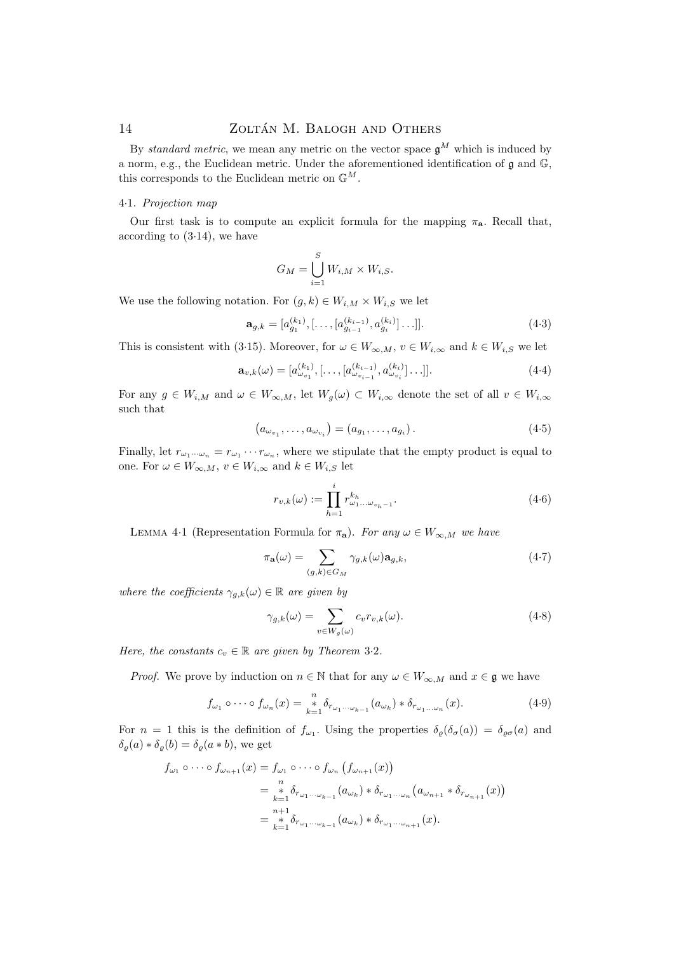By standard metric, we mean any metric on the vector space  $\mathfrak{g}^M$  which is induced by a norm, e.g., the Euclidean metric. Under the aforementioned identification of g and G, this corresponds to the Euclidean metric on  $\mathbb{G}^M$ .

# 4·1. Projection map

Our first task is to compute an explicit formula for the mapping  $\pi_{a}$ . Recall that, according to  $(3.14)$ , we have

$$
G_M = \bigcup_{i=1}^S W_{i,M} \times W_{i,S}.
$$

We use the following notation. For  $(g, k) \in W_{i,M} \times W_{i,S}$  we let

$$
\mathbf{a}_{g,k} = [a_{g_1}^{(k_1)}, \ldots, [a_{g_{i-1}}^{(k_{i-1})}, a_{g_i}^{(k_i)}] \ldots]].
$$
\n(4.3)

This is consistent with (3·15). Moreover, for  $\omega \in W_{\infty,M}$ ,  $v \in W_{i,\infty}$  and  $k \in W_{i,S}$  we let

$$
\mathbf{a}_{v,k}(\omega) = [a_{\omega_{v_1}}^{(k_1)}, [\dots, [a_{\omega_{v_{i-1}}}^{(k_{i-1})}, a_{\omega_{v_i}}^{(k_i)}] \dots]]. \tag{4.4}
$$

For any  $g \in W_{i,M}$  and  $\omega \in W_{\infty,M}$ , let  $W_g(\omega) \subset W_{i,\infty}$  denote the set of all  $v \in W_{i,\infty}$ such that

$$
(a_{\omega_{v_1}}, \ldots, a_{\omega_{v_i}}) = (a_{g_1}, \ldots, a_{g_i}).
$$
\n(4.5)

Finally, let  $r_{\omega_1\cdots\omega_n} = r_{\omega_1}\cdots r_{\omega_n}$ , where we stipulate that the empty product is equal to one. For  $\omega \in W_{\infty,M}$ ,  $v \in W_{i,\infty}$  and  $k \in W_{i,S}$  let

$$
r_{v,k}(\omega) := \prod_{h=1}^{i} r_{\omega_1...\omega_{v_h-1}}^{k_h}.
$$
 (4.6)

LEMMA 4·1 (Representation Formula for  $\pi_{\mathbf{a}}$ ). For any  $\omega \in W_{\infty,M}$  we have

$$
\pi_{\mathbf{a}}(\omega) = \sum_{(g,k)\in G_M} \gamma_{g,k}(\omega) \mathbf{a}_{g,k},\tag{4-7}
$$

where the coefficients  $\gamma_{g,k}(\omega) \in \mathbb{R}$  are given by

$$
\gamma_{g,k}(\omega) = \sum_{v \in W_g(\omega)} c_v r_{v,k}(\omega). \tag{4-8}
$$

Here, the constants  $c_v \in \mathbb{R}$  are given by Theorem 3.2.

*Proof.* We prove by induction on  $n \in \mathbb{N}$  that for any  $\omega \in W_{\infty,M}$  and  $x \in \mathfrak{g}$  we have

$$
f_{\omega_1} \circ \cdots \circ f_{\omega_n}(x) = \sum_{k=1}^n \delta_{r_{\omega_1 \cdots \omega_{k-1}}}(a_{\omega_k}) \ast \delta_{r_{\omega_1 \cdots \omega_n}}(x). \tag{4.9}
$$

For  $n = 1$  this is the definition of  $f_{\omega_1}$ . Using the properties  $\delta_{\varrho}(\delta_{\sigma}(a)) = \delta_{\varrho\sigma}(a)$  and  $\delta_{\rho}(a) * \delta_{\rho}(b) = \delta_{\rho}(a * b)$ , we get

$$
f_{\omega_1} \circ \cdots \circ f_{\omega_{n+1}}(x) = f_{\omega_1} \circ \cdots \circ f_{\omega_n} (f_{\omega_{n+1}}(x))
$$
  
= 
$$
\underset{k=1}{\overset{n}{*}} \delta_{r_{\omega_1 \cdots \omega_{k-1}}} (a_{\omega_k}) * \delta_{r_{\omega_1 \cdots \omega_n}} (a_{\omega_{n+1}} * \delta_{r_{\omega_{n+1}}}(x))
$$
  
= 
$$
\underset{k=1}{\overset{n+1}{*}} \delta_{r_{\omega_1 \cdots \omega_{k-1}}} (a_{\omega_k}) * \delta_{r_{\omega_1 \cdots \omega_{n+1}}}(x).
$$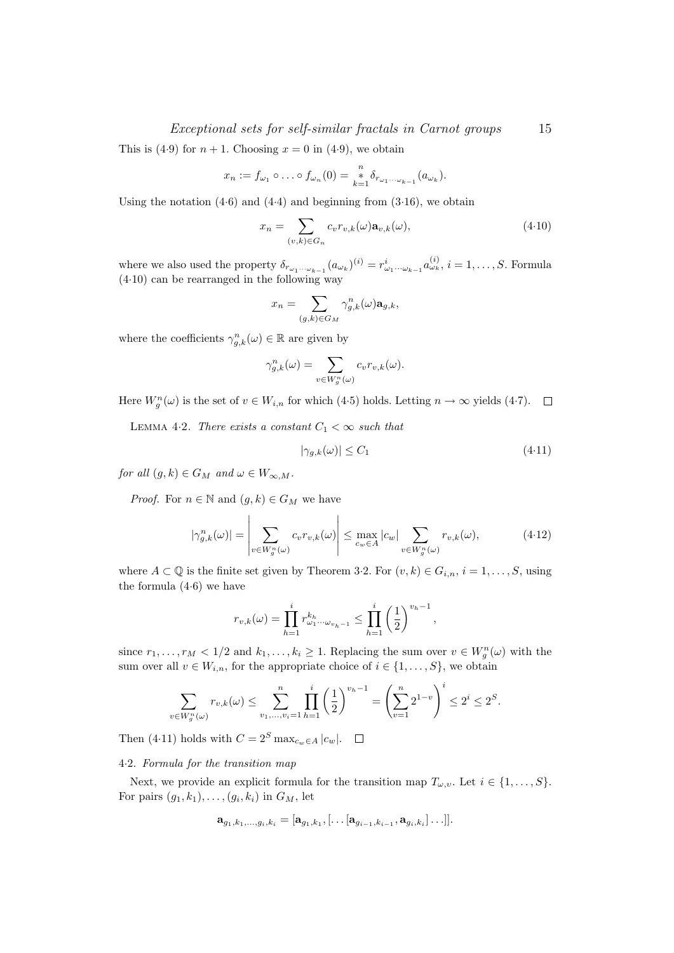## Exceptional sets for self-similar fractals in Carnot groups 15

This is (4.9) for  $n + 1$ . Choosing  $x = 0$  in (4.9), we obtain

$$
x_n := f_{\omega_1} \circ \ldots \circ f_{\omega_n}(0) = \sum_{k=1}^n \delta_{r_{\omega_1 \cdots \omega_{k-1}}}(a_{\omega_k}).
$$

Using the notation  $(4.6)$  and  $(4.4)$  and beginning from  $(3.16)$ , we obtain

$$
x_n = \sum_{(v,k)\in G_n} c_v r_{v,k}(\omega) \mathbf{a}_{v,k}(\omega), \qquad (4.10)
$$

where we also used the property  $\delta_{r_{\omega_1\cdots\omega_{k-1}}}(a_{\omega_k})^{(i)}=r_{\omega_1\cdots\omega_{k-1}}^i a_{\omega_k}^{(i)}, i=1,\ldots,S$ . Formula (4·10) can be rearranged in the following way

$$
x_n = \sum_{(g,k)\in G_M} \gamma_{g,k}^n(\omega) \mathbf{a}_{g,k},
$$

where the coefficients  $\gamma_{g,k}^n(\omega) \in \mathbb{R}$  are given by

$$
\gamma_{g,k}^n(\omega) = \sum_{v \in W_g^n(\omega)} c_v r_{v,k}(\omega).
$$

Here  $W_g^n(\omega)$  is the set of  $v \in W_{i,n}$  for which (4.5) holds. Letting  $n \to \infty$  yields (4.7).

LEMMA 4.2. There exists a constant  $C_1 < \infty$  such that

$$
|\gamma_{g,k}(\omega)| \le C_1 \tag{4.11}
$$

for all  $(g, k) \in G_M$  and  $\omega \in W_{\infty, M}$ .

*Proof.* For  $n \in \mathbb{N}$  and  $(g, k) \in G_M$  we have

$$
|\gamma_{g,k}^n(\omega)| = \left| \sum_{v \in W_g^n(\omega)} c_v r_{v,k}(\omega) \right| \le \max_{c_w \in A} |c_w| \sum_{v \in W_g^n(\omega)} r_{v,k}(\omega), \tag{4.12}
$$

where  $A \subset \mathbb{Q}$  is the finite set given by Theorem 3.2. For  $(v, k) \in G_{i,n}$ ,  $i = 1, \ldots, S$ , using the formula (4·6) we have

$$
r_{v,k}(\omega) = \prod_{h=1}^{i} r_{\omega_1 \cdots \omega_{v_h-1}}^{k_h} \le \prod_{h=1}^{i} \left(\frac{1}{2}\right)^{v_h-1},
$$

since  $r_1, \ldots, r_M < 1/2$  and  $k_1, \ldots, k_i \geq 1$ . Replacing the sum over  $v \in W_g^n(\omega)$  with the sum over all  $v \in W_{i,n}$ , for the appropriate choice of  $i \in \{1, \ldots, S\}$ , we obtain

$$
\sum_{v \in W_g^n(\omega)} r_{v,k}(\omega) \le \sum_{v_1, \dots, v_i=1}^n \prod_{h=1}^i \left(\frac{1}{2}\right)^{v_h - 1} = \left(\sum_{v=1}^n 2^{1-v}\right)^i \le 2^i \le 2^s.
$$

Then (4·11) holds with  $C = 2^S \max_{c_w \in A} |c_w|$ .  $\Box$ 

#### 4·2. Formula for the transition map

Next, we provide an explicit formula for the transition map  $T_{\omega,v}$ . Let  $i \in \{1,\ldots,S\}$ . For pairs  $(g_1, k_1), \ldots, (g_i, k_i)$  in  $G_M$ , let

$$
\mathbf{a}_{g_1,k_1,\ldots,g_i,k_i}=[\mathbf{a}_{g_1,k_1},[\ldots [\mathbf{a}_{g_{i-1},k_{i-1}},\mathbf{a}_{g_i,k_i}]\ldots]].
$$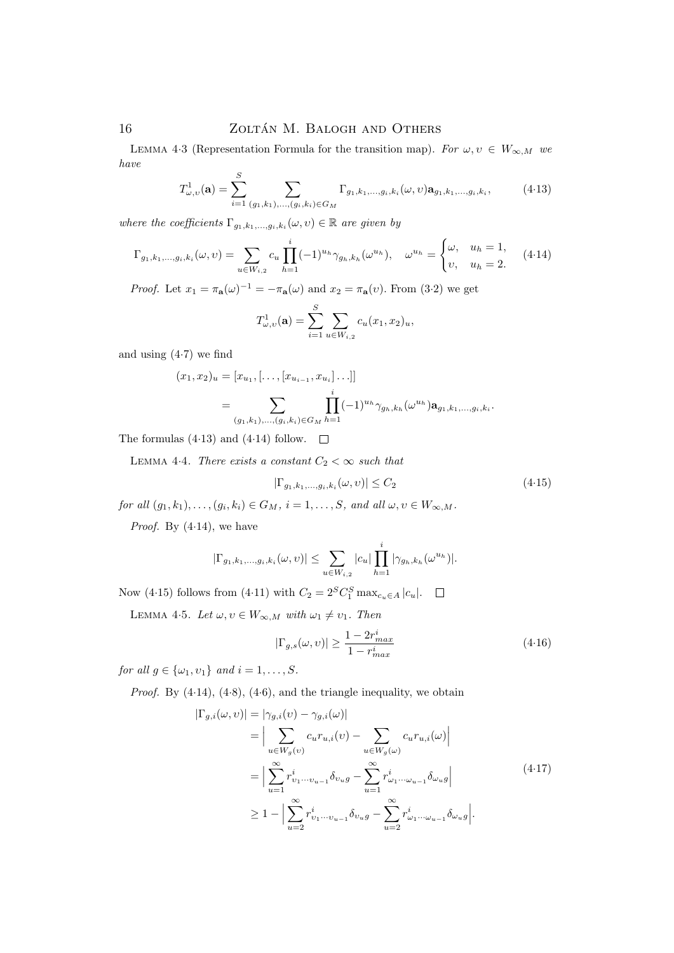LEMMA 4.3 (Representation Formula for the transition map). For  $\omega, v \in W_{\infty,M}$  we have  $\overline{a}$ 

$$
T_{\omega,v}^1(\mathbf{a}) = \sum_{i=1}^S \sum_{(g_1,k_1),\dots,(g_i,k_i)\in G_M} \Gamma_{g_1,k_1,\dots,g_i,k_i}(\omega,\upsilon) \mathbf{a}_{g_1,k_1,\dots,g_i,k_i},\tag{4.13}
$$

where the coefficients  $\Gamma_{g_1,k_1,\dots,g_i,k_i}(\omega,\nu) \in \mathbb{R}$  are given by

$$
\Gamma_{g_1,k_1,\dots,g_i,k_i}(\omega,\upsilon) = \sum_{u \in W_{i,2}} c_u \prod_{h=1}^i (-1)^{u_h} \gamma_{g_h,k_h}(\omega^{u_h}), \quad \omega^{u_h} = \begin{cases} \omega, & u_h = 1, \\ \upsilon, & u_h = 2. \end{cases} \tag{4.14}
$$

*Proof.* Let  $x_1 = \pi_{\mathbf{a}}(\omega)^{-1} = -\pi_{\mathbf{a}}(\omega)$  and  $x_2 = \pi_{\mathbf{a}}(\nu)$ . From (3.2) we get

$$
T_{\omega,v}^1(\mathbf{a}) = \sum_{i=1}^S \sum_{u \in W_{i,2}} c_u(x_1, x_2)_u,
$$

and using (4·7) we find

$$
(x_1, x_2)_u = [x_{u_1}, [\dots, [x_{u_{i-1}}, x_{u_i}] \dots]]
$$
  
= 
$$
\sum_{(g_1, k_1), \dots, (g_i, k_i) \in G_M} \prod_{h=1}^i (-1)^{u_h} \gamma_{g_h, k_h}(\omega^{u_h}) \mathbf{a}_{g_1, k_1, \dots, g_i, k_i}.
$$

The formulas (4.13) and (4.14) follow.  $\square$ 

LEMMA 4.4. There exists a constant  $C_2 < \infty$  such that

$$
|\Gamma_{g_1,k_1,\dots,g_i,k_i}(\omega,\upsilon)| \le C_2 \tag{4.15}
$$

for all  $(g_1,k_1),\ldots,(g_i,k_i)\in G_M$ ,  $i=1,\ldots,S$ , and all  $\omega, \upsilon\in W_{\infty,M}$ .

*Proof.* By  $(4.14)$ , we have

$$
|\Gamma_{g_1,k_1,...,g_i,k_i}(\omega,\nu)| \leq \sum_{u \in W_{i,2}} |c_u| \prod_{h=1}^i |\gamma_{g_h,k_h}(\omega^{u_h})|.
$$

Now (4.15) follows from (4.11) with  $C_2 = 2^S C_1^S \max_{c_u \in A} |c_u|$ .

LEMMA 4.5. Let  $\omega, \upsilon \in W_{\infty,M}$  with  $\omega_1 \neq \upsilon_1$ . Then

$$
|\Gamma_{g,s}(\omega,\upsilon)| \ge \frac{1 - 2r_{max}^i}{1 - r_{max}^i} \tag{4.16}
$$

for all  $g \in {\{\omega_1, \nu_1\}}$  and  $i = 1, \ldots, S$ .

*Proof.* By  $(4.14)$ ,  $(4.8)$ ,  $(4.6)$ , and the triangle inequality, we obtain

$$
|\Gamma_{g,i}(\omega, v)| = |\gamma_{g,i}(v) - \gamma_{g,i}(\omega)|
$$
  
\n
$$
= \left| \sum_{u \in W_g(v)} c_u r_{u,i}(v) - \sum_{u \in W_g(\omega)} c_u r_{u,i}(\omega) \right|
$$
  
\n
$$
= \left| \sum_{u=1}^{\infty} r_{v_1 \cdots v_{u-1}}^i \delta_{v_ug} - \sum_{u=1}^{\infty} r_{\omega_1 \cdots \omega_{u-1}}^i \delta_{\omega_ug} \right|
$$
  
\n
$$
\geq 1 - \left| \sum_{u=2}^{\infty} r_{v_1 \cdots v_{u-1}}^i \delta_{v_ug} - \sum_{u=2}^{\infty} r_{\omega_1 \cdots \omega_{u-1}}^i \delta_{\omega_ug} \right|.
$$
\n(4.17)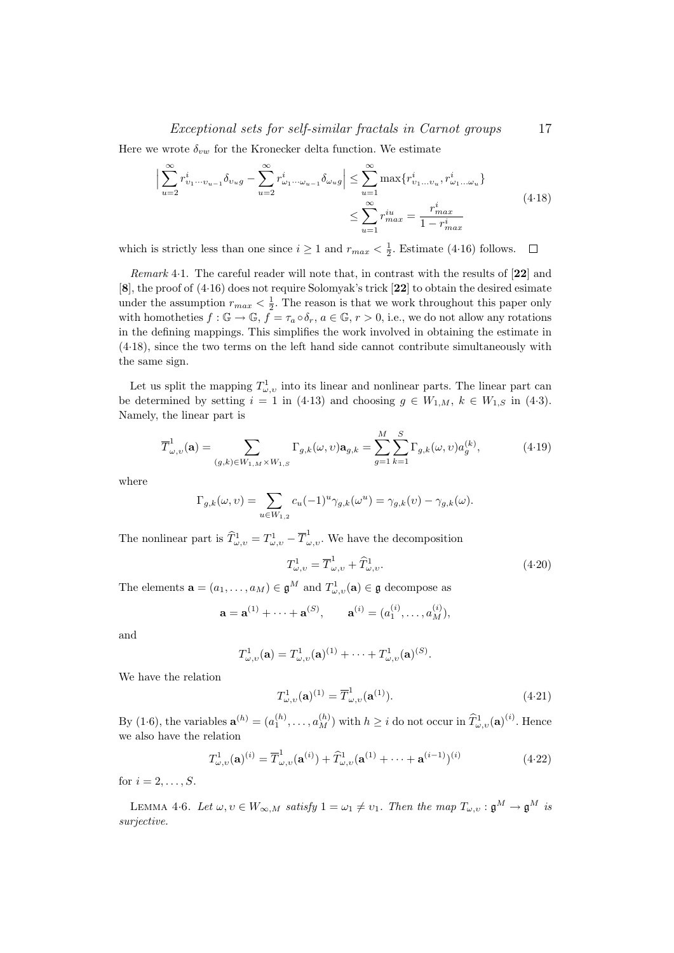### Exceptional sets for self-similar fractals in Carnot groups 17

Here we wrote  $\delta_{vw}$  for the Kronecker delta function. We estimate

$$
\left| \sum_{u=2}^{\infty} r_{v_1 \dots v_{u-1}}^i \delta_{v_u g} - \sum_{u=2}^{\infty} r_{\omega_1 \dots \omega_{u-1}}^i \delta_{\omega_u g} \right| \leq \sum_{u=1}^{\infty} \max \{ r_{v_1 \dots v_u}^i, r_{\omega_1 \dots \omega_u}^i \}
$$
\n
$$
\leq \sum_{u=1}^{\infty} r_{max}^{iu} = \frac{r_{max}^i}{1 - r_{max}^i}
$$
\n(4.18)

which is strictly less than one since  $i \geq 1$  and  $r_{max} < \frac{1}{2}$ . Estimate (4.16) follows.

Remark 4·1. The careful reader will note that, in contrast with the results of [22] and [8], the proof of (4·16) does not require Solomyak's trick [22] to obtain the desired esimate under the assumption  $r_{max} < \frac{1}{2}$ . The reason is that we work throughout this paper only with homotheties  $f: \mathbb{G} \to \mathbb{G}$ ,  $f = \tau_a \circ \delta_r$ ,  $a \in \mathbb{G}$ ,  $r > 0$ , i.e., we do not allow any rotations in the defining mappings. This simplifies the work involved in obtaining the estimate in (4·18), since the two terms on the left hand side cannot contribute simultaneously with the same sign.

Let us split the mapping  $T^1_{\omega,\nu}$  into its linear and nonlinear parts. The linear part can be determined by setting  $i = 1$  in (4.13) and choosing  $g \in W_{1,M}$ ,  $k \in W_{1,S}$  in (4.3). Namely, the linear part is

$$
\overline{T}_{\omega,\upsilon}^{1}(\mathbf{a}) = \sum_{(g,k)\in W_{1,M}\times W_{1,S}} \Gamma_{g,k}(\omega,\upsilon) \mathbf{a}_{g,k} = \sum_{g=1}^{M} \sum_{k=1}^{S} \Gamma_{g,k}(\omega,\upsilon) a_g^{(k)},
$$
(4.19)

where

$$
\Gamma_{g,k}(\omega,\upsilon) = \sum_{u \in W_{1,2}} c_u (-1)^u \gamma_{g,k}(\omega^u) = \gamma_{g,k}(\upsilon) - \gamma_{g,k}(\omega).
$$

The nonlinear part is  $\widehat{T}^1_{\omega,\upsilon} = T^1_{\omega,\upsilon} - \overline{T}^1_{\omega,\upsilon}$ . We have the decomposition

$$
T_{\omega,\upsilon}^1 = \overline{T}_{\omega,\upsilon}^1 + \widehat{T}_{\omega,\upsilon}^1. \tag{4.20}
$$

The elements  $\mathbf{a} = (a_1, \dots, a_M) \in \mathfrak{g}^M$  and  $T^1_{\omega, v}(\mathbf{a}) \in \mathfrak{g}$  decompose as

$$
\mathbf{a} = \mathbf{a}^{(1)} + \dots + \mathbf{a}^{(S)}, \qquad \mathbf{a}^{(i)} = (a_1^{(i)}, \dots, a_M^{(i)}),
$$

and

$$
T^{1}_{\omega,v}(\mathbf{a})=T^{1}_{\omega,v}(\mathbf{a})^{(1)}+\cdots+T^{1}_{\omega,v}(\mathbf{a})^{(S)}.
$$

We have the relation

$$
T_{\omega,\upsilon}^{1}(\mathbf{a})^{(1)} = \overline{T}_{\omega,\upsilon}^{1}(\mathbf{a}^{(1)}).
$$
 (4.21)

By (1.6), the variables  $\mathbf{a}^{(h)} = (a_1^{(h)}, \dots, a_M^{(h)})$  with  $h \geq i$  do not occur in  $\widehat{T}_{\omega,v}^1(\mathbf{a})^{(i)}$ . Hence we also have the relation

$$
T_{\omega,\upsilon}^{1}(\mathbf{a})^{(i)} = \overline{T}_{\omega,\upsilon}^{1}(\mathbf{a}^{(i)}) + \widehat{T}_{\omega,\upsilon}^{1}(\mathbf{a}^{(1)} + \dots + \mathbf{a}^{(i-1)})^{(i)}
$$
(4.22)

for  $i = 2, \ldots, S$ .

LEMMA 4·6. Let  $\omega, \upsilon \in W_{\infty,M}$  satisfy  $1 = \omega_1 \neq \upsilon_1$ . Then the map  $T_{\omega,\upsilon} : \mathfrak{g}^M \to \mathfrak{g}^M$  is surjective.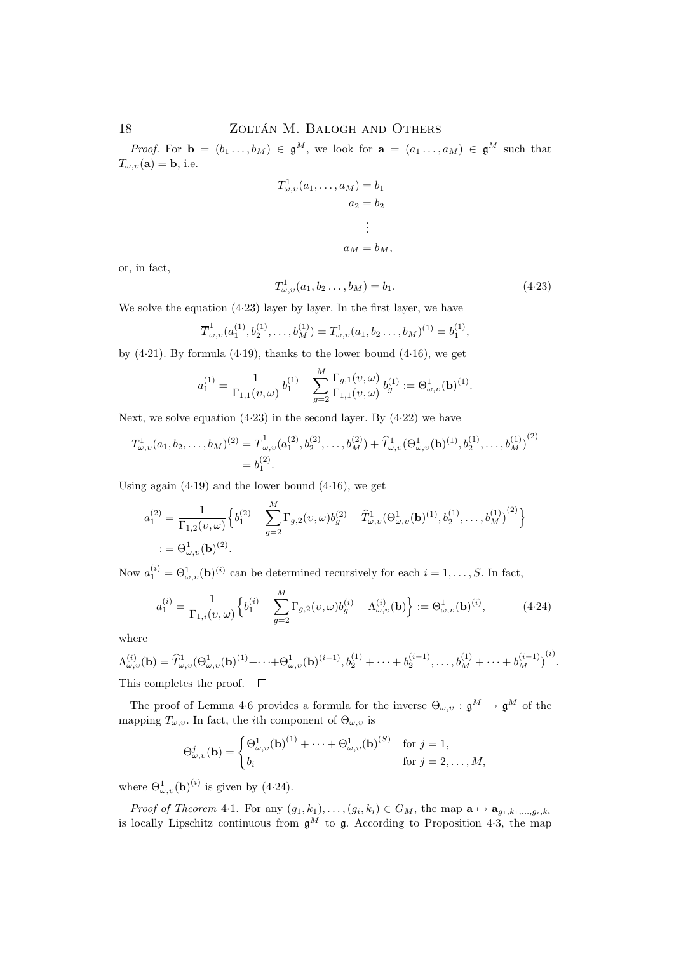*Proof.* For  $\mathbf{b} = (b_1 \ldots, b_M) \in \mathfrak{g}^M$ , we look for  $\mathbf{a} = (a_1 \ldots, a_M) \in \mathfrak{g}^M$  such that  $T_{\omega,\upsilon}(\mathbf{a}) = \mathbf{b}$ , i.e.

$$
T^{1}_{\omega,\upsilon}(a_1,\ldots,a_M) = b_1
$$

$$
a_2 = b_2
$$

$$
\vdots
$$

$$
a_M = b_M,
$$

or, in fact,

$$
T_{\omega,\upsilon}^1(a_1, b_2 \dots, b_M) = b_1. \tag{4.23}
$$

We solve the equation  $(4.23)$  layer by layer. In the first layer, we have

$$
\overline{T}_{\omega,v}^1(a_1^{(1)}, b_2^{(1)}, \dots, b_M^{(1)}) = T_{\omega,v}^1(a_1, b_2 \dots, b_M)^{(1)} = b_1^{(1)},
$$

by  $(4.21)$ . By formula  $(4.19)$ , thanks to the lower bound  $(4.16)$ , we get

$$
a_1^{(1)} = \frac{1}{\Gamma_{1,1}(\nu,\omega)} b_1^{(1)} - \sum_{g=2}^M \frac{\Gamma_{g,1}(\nu,\omega)}{\Gamma_{1,1}(\nu,\omega)} b_g^{(1)} := \Theta_{\omega,\nu}^1(\mathbf{b})^{(1)}.
$$

M

Next, we solve equation  $(4.23)$  in the second layer. By  $(4.22)$  we have

$$
T^{1}_{\omega,\upsilon}(a_1,b_2,\ldots,b_M)^{(2)} = \overline{T}^{1}_{\omega,\upsilon}(a_1^{(2)},b_2^{(2)},\ldots,b_M^{(2)}) + \widehat{T}^{1}_{\omega,\upsilon}(\Theta_{\omega,\upsilon}^1(\mathbf{b})^{(1)},b_2^{(1)},\ldots,b_M^{(1)})^{(2)}
$$
  
=  $b_1^{(2)}$ .

Using again  $(4.19)$  and the lower bound  $(4.16)$ , we get

$$
a_1^{(2)} = \frac{1}{\Gamma_{1,2}(\nu,\omega)} \Big\{ b_1^{(2)} - \sum_{g=2}^M \Gamma_{g,2}(\nu,\omega) b_g^{(2)} - \widehat{T}_{\omega,\upsilon}^1(\Theta_{\omega,\upsilon}^1(\mathbf{b})^{(1)}, b_2^{(1)}, \dots, b_M^{(1)})^{(2)} \Big\}
$$
  
:=  $\Theta_{\omega,\upsilon}^1(\mathbf{b})^{(2)}$ .

Now  $a_1^{(i)} = \Theta_{\omega, v}^1(\mathbf{b})^{(i)}$  can be determined recursively for each  $i = 1, \ldots, S$ . In fact,

$$
a_1^{(i)} = \frac{1}{\Gamma_{1,i}(\nu,\omega)} \Big\{ b_1^{(i)} - \sum_{g=2}^M \Gamma_{g,2}(\nu,\omega) b_g^{(i)} - \Lambda_{\omega,\nu}^{(i)}(\mathbf{b}) \Big\} := \Theta_{\omega,\nu}^1(\mathbf{b})^{(i)},\tag{4.24}
$$

where

$$
\Lambda_{\omega,\upsilon}^{(i)}(\mathbf{b}) = \widehat{T}_{\omega,\upsilon}^{1}(\Theta_{\omega,\upsilon}^{1}(\mathbf{b})^{(1)} + \cdots + \Theta_{\omega,\upsilon}^{1}(\mathbf{b})^{(i-1)}, b_{2}^{(1)} + \cdots + b_{2}^{(i-1)}, \ldots, b_{M}^{(1)} + \cdots + b_{M}^{(i-1)})^{(i)}.
$$
\nThis completes the proof

\n
$$
\Box
$$

This completes the proof.  $\Box$ 

The proof of Lemma 4.6 provides a formula for the inverse  $\Theta_{\omega,\nu} : \mathfrak{g}^M \to \mathfrak{g}^M$  of the mapping  $T_{\omega,v}.$  In fact, the *i*th component of  $\Theta_{\omega,v}$  is

$$
\Theta_{\omega,v}^j(\mathbf{b}) = \begin{cases} \Theta_{\omega,v}^1(\mathbf{b})^{(1)} + \dots + \Theta_{\omega,v}^1(\mathbf{b})^{(S)} & \text{for } j = 1, \\ b_i & \text{for } j = 2, \dots, M, \end{cases}
$$

where  $\Theta_{\omega,v}^1(\mathbf{b})^{(i)}$  is given by (4.24).

*Proof of Theorem 4-1.* For any  $(g_1, k_1), \ldots, (g_i, k_i) \in G_M$ , the map  $\mathbf{a} \mapsto \mathbf{a}_{g_1, k_1, \ldots, g_i, k_i}$ is locally Lipschitz continuous from  $\mathfrak{g}^M$  to  $\mathfrak{g}$ . According to Proposition 4.3, the map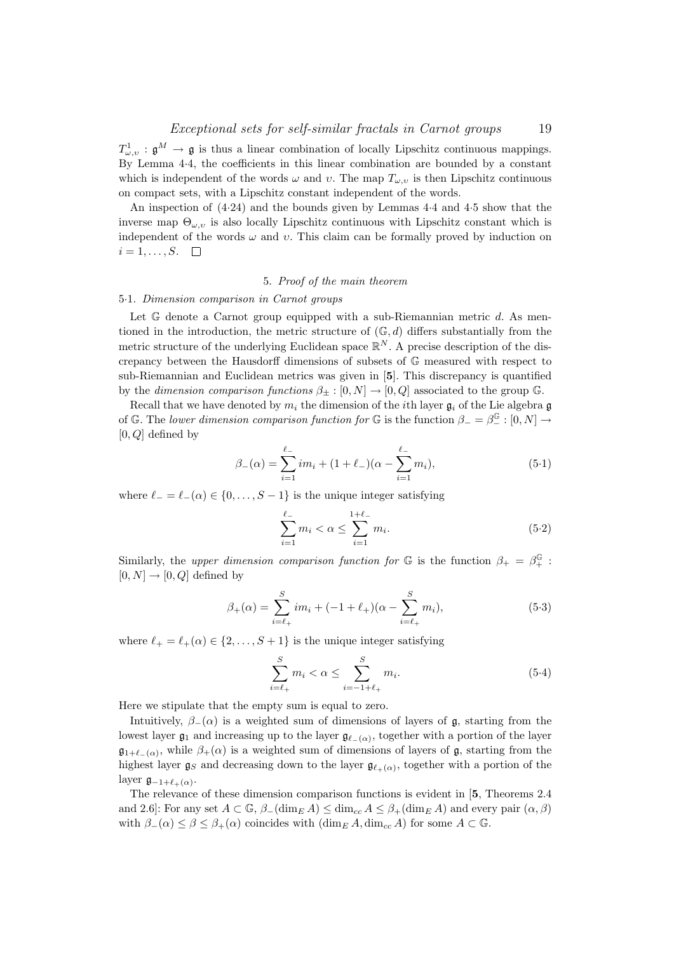$T^1_{\omega,\upsilon}$ :  $\mathfrak{g}^M \to \mathfrak{g}$  is thus a linear combination of locally Lipschitz continuous mappings. By Lemma 4·4, the coefficients in this linear combination are bounded by a constant which is independent of the words  $\omega$  and  $\nu$ . The map  $T_{\omega, \nu}$  is then Lipschitz continuous on compact sets, with a Lipschitz constant independent of the words.

An inspection of (4·24) and the bounds given by Lemmas 4·4 and 4·5 show that the inverse map  $\Theta_{\omega,v}$  is also locally Lipschitz continuous with Lipschitz constant which is independent of the words  $\omega$  and  $v$ . This claim can be formally proved by induction on  $i = 1, \ldots, S. \quad \Box$ 

### 5. Proof of the main theorem

#### 5·1. Dimension comparison in Carnot groups

Let G denote a Carnot group equipped with a sub-Riemannian metric d. As mentioned in the introduction, the metric structure of  $(\mathbb{G}, d)$  differs substantially from the metric structure of the underlying Euclidean space  $\mathbb{R}^N$ . A precise description of the discrepancy between the Hausdorff dimensions of subsets of G measured with respect to sub-Riemannian and Euclidean metrics was given in [5]. This discrepancy is quantified by the dimension comparison functions  $\beta_+ : [0, N] \to [0, Q]$  associated to the group G.

Recall that we have denoted by  $m_i$  the dimension of the *i*th layer  $\mathfrak{g}_i$  of the Lie algebra g of G. The lower dimension comparison function for G is the function  $\beta_- = \beta_-^{\mathbb{G}} : [0, N] \to$  $[0, Q]$  defined by

$$
\beta_{-}(\alpha) = \sum_{i=1}^{\ell_{-}} i m_{i} + (1 + \ell_{-})(\alpha - \sum_{i=1}^{\ell_{-}} m_{i}), \qquad (5.1)
$$

where  $\ell_- = \ell_-(\alpha) \in \{0, \ldots, S-1\}$  is the unique integer satisfying

$$
\sum_{i=1}^{\ell_{-}} m_{i} < \alpha \leq \sum_{i=1}^{1+\ell_{-}} m_{i}.\tag{5.2}
$$

Similarly, the upper dimension comparison function for  $\mathbb G$  is the function  $\beta_+ = \beta_+^{\mathbb G}$ :  $[0, N] \rightarrow [0, Q]$  defined by

$$
\beta_{+}(\alpha) = \sum_{i=\ell_{+}}^{S} im_{i} + (-1+\ell_{+})(\alpha - \sum_{i=\ell_{+}}^{S} m_{i}), \qquad (5.3)
$$

where  $\ell_+ = \ell_+(\alpha) \in \{2, \ldots, S + 1\}$  is the unique integer satisfying

$$
\sum_{i=\ell_{+}}^{S} m_{i} < \alpha \leq \sum_{i=-1+\ell_{+}}^{S} m_{i}.\tag{5.4}
$$

Here we stipulate that the empty sum is equal to zero.

Intuitively,  $\beta_-(\alpha)$  is a weighted sum of dimensions of layers of g, starting from the lowest layer  $\mathfrak{g}_1$  and increasing up to the layer  $\mathfrak{g}_{\ell-(\alpha)}$ , together with a portion of the layer  $\mathfrak{g}_{1+\ell_{-}(\alpha)}$ , while  $\beta_{+}(\alpha)$  is a weighted sum of dimensions of layers of  $\mathfrak{g}$ , starting from the highest layer  $\mathfrak{g}_S$  and decreasing down to the layer  $\mathfrak{g}_{\ell_+(\alpha)}$ , together with a portion of the layer  $\mathfrak{g}_{-1+\ell_{+}(\alpha)}$ .

The relevance of these dimension comparison functions is evident in [5, Theorems 2.4 and 2.6]: For any set  $A \subset \mathbb{G}$ ,  $\beta_{-}(\dim_{E} A) \leq \dim_{C} A \leq \beta_{+}(\dim_{E} A)$  and every pair  $(\alpha, \beta)$ with  $\beta_-(\alpha) \leq \beta \leq \beta_+(\alpha)$  coincides with  $(\dim_E A, \dim_{cc} A)$  for some  $A \subset \mathbb{G}$ .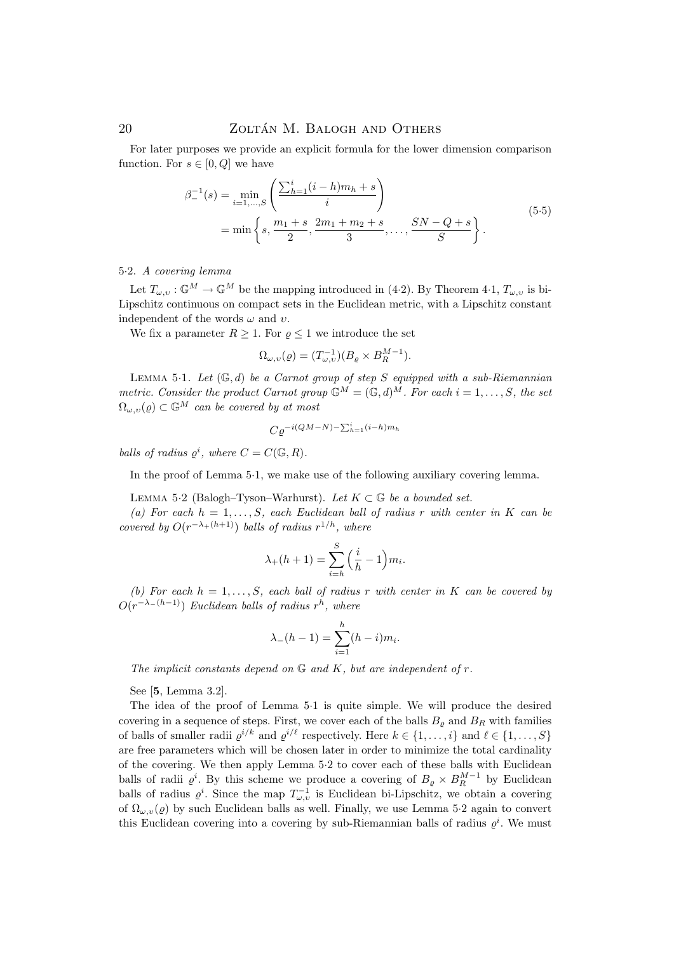For later purposes we provide an explicit formula for the lower dimension comparison function. For  $s \in [0, Q]$  we have

$$
\beta_{-}^{-1}(s) = \min_{i=1,\dots,S} \left( \frac{\sum_{h=1}^{i} (i-h)m_h + s}{i} \right)
$$
  
= min  $\left\{ s, \frac{m_1 + s}{2}, \frac{2m_1 + m_2 + s}{3}, \dots, \frac{SN - Q + s}{S} \right\}.$  (5.5)

### 5·2. A covering lemma

Let  $T_{\omega,v} : \mathbb{G}^M \to \mathbb{G}^M$  be the mapping introduced in (4.2). By Theorem 4.1,  $T_{\omega,v}$  is bi-Lipschitz continuous on compact sets in the Euclidean metric, with a Lipschitz constant independent of the words  $\omega$  and  $v$ .

We fix a parameter  $R \geq 1$ . For  $\varrho \leq 1$  we introduce the set

$$
\Omega_{\omega,\upsilon}(\varrho) = (T_{\omega,\upsilon}^{-1})(B_{\varrho} \times B_R^{M-1}).
$$

LEMMA 5.1. Let  $(\mathbb{G}, d)$  be a Carnot group of step S equipped with a sub-Riemannian metric. Consider the product Carnot group  $\mathbb{G}^M = (\mathbb{G}, d)^M$ . For each  $i = 1, \ldots, S$ , the set  $\Omega_{\omega,\nu}(\varrho) \subset \mathbb{G}^M$  can be covered by at most

$$
C\rho^{-i(QM-N)-\sum_{h=1}^{i}(i-h)m_h}
$$

balls of radius  $\varrho^i$ , where  $C = C(\mathbb{G}, R)$ .

In the proof of Lemma 5·1, we make use of the following auxiliary covering lemma.

LEMMA 5·2 (Balogh–Tyson–Warhurst). Let  $K \subset \mathbb{G}$  be a bounded set.

(a) For each  $h = 1, \ldots, S$ , each Euclidean ball of radius r with center in K can be covered by  $O(r^{-\lambda+(h+1)})$  balls of radius  $r^{1/h}$ , where

$$
\lambda_{+}(h+1) = \sum_{i=h}^{S} \left(\frac{i}{h} - 1\right) m_i.
$$

(b) For each  $h = 1, \ldots, S$ , each ball of radius r with center in K can be covered by  $O(r^{-\lambda-(h-1)})$  Euclidean balls of radius  $r^h$ , where

$$
\lambda_{-}(h-1) = \sum_{i=1}^{h} (h-i)m_i.
$$

The implicit constants depend on  $\mathbb G$  and  $K$ , but are independent of  $r$ .

See [5, Lemma 3.2].

The idea of the proof of Lemma 5·1 is quite simple. We will produce the desired covering in a sequence of steps. First, we cover each of the balls  $B_{\rho}$  and  $B_{R}$  with families of balls of smaller radii  $\varrho^{i/k}$  and  $\varrho^{i/\ell}$  respectively. Here  $k \in \{1, \ldots, i\}$  and  $\ell \in \{1, \ldots, S\}$ are free parameters which will be chosen later in order to minimize the total cardinality of the covering. We then apply Lemma 5·2 to cover each of these balls with Euclidean balls of radii  $\varrho^i$ . By this scheme we produce a covering of  $B_{\varrho} \times B_R^{M-1}$  by Euclidean balls of radius  $\varrho^i$ . Since the map  $T_{\omega,v}^{-1}$  is Euclidean bi-Lipschitz, we obtain a covering of  $\Omega_{\omega,\nu}(\varrho)$  by such Euclidean balls as well. Finally, we use Lemma 5.2 again to convert this Euclidean covering into a covering by sub-Riemannian balls of radius  $\varrho^i$ . We must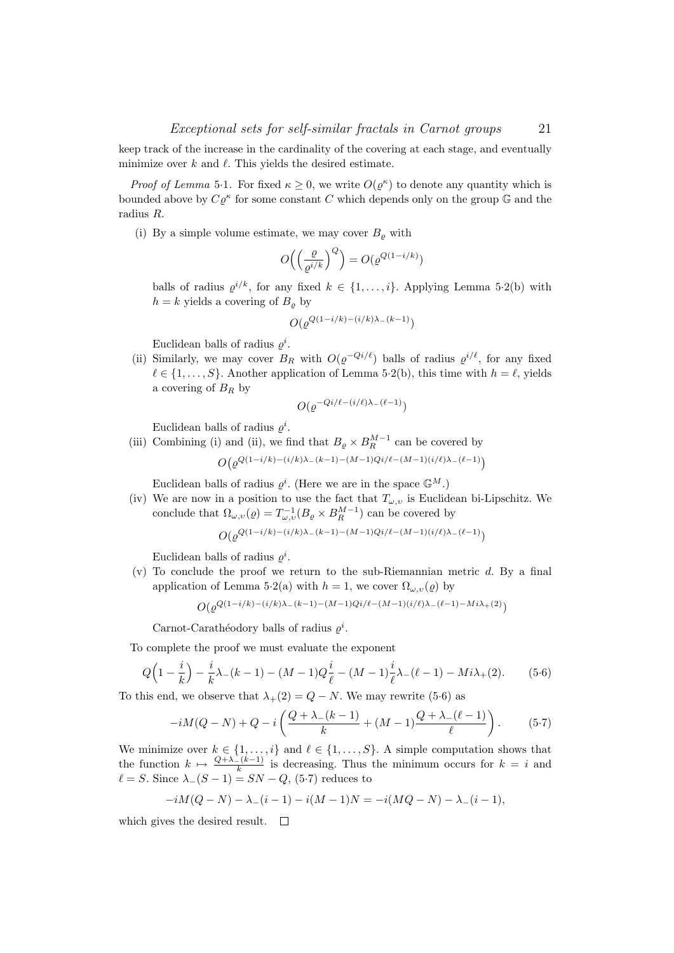keep track of the increase in the cardinality of the covering at each stage, and eventually minimize over  $k$  and  $\ell$ . This yields the desired estimate.

*Proof of Lemma* 5.1. For fixed  $\kappa \geq 0$ , we write  $O(\varrho^{\kappa})$  to denote any quantity which is bounded above by  $C\varrho^{\kappa}$  for some constant C which depends only on the group G and the radius R.

(i) By a simple volume estimate, we may cover  $B_{\rho}$  with

$$
O\left(\left(\frac{\varrho}{\varrho^{i/k}}\right)^Q\right) = O(\varrho^{Q(1-i/k)})
$$

balls of radius  $\varrho^{i/k}$ , for any fixed  $k \in \{1, \ldots, i\}$ . Applying Lemma 5.2(b) with  $h = k$  yields a covering of  $B_{\varrho}$  by

$$
O(\varrho^{Q(1-i/k)-(i/k)\lambda_-(k-1)})
$$

Euclidean balls of radius  $\varrho^i$ .

(ii) Similarly, we may cover  $B_R$  with  $O(\varrho^{-Q_i/\ell})$  balls of radius  $\varrho^{i/\ell}$ , for any fixed  $\ell \in \{1, \ldots, S\}$ . Another application of Lemma 5·2(b), this time with  $h = \ell$ , yields a covering of  $B_R$  by

$$
O(\varrho^{-Qi/\ell - (i/\ell)\lambda_-(\ell-1)})
$$

Euclidean balls of radius  $\varrho^i$ .

(iii) Combining (i) and (ii), we find that  $B_{\varrho} \times B_R^{M-1}$  can be covered by  $O(\varrho^{Q(1-i/k)-(i/k)\lambda_-(k-1)-(M-1)Qi/\ell-(M-1)(i/\ell)\lambda_-(\ell-1)})$ 

Euclidean balls of radius  $\varrho^i$ . (Here we are in the space  $\mathbb{G}^M$ .)

(iv) We are now in a position to use the fact that  $T_{\omega,v}$  is Euclidean bi-Lipschitz. We conclude that  $\Omega_{\omega,v}(\varrho) = T_{\omega,v}^{-1}(B_\varrho \times B_R^{M-1})$  can be covered by

$$
O(\varrho^{Q(1-i/k)-(i/k)\lambda_-(k-1)-(M-1)Qi/\ell-(M-1)(i/\ell)\lambda_-(\ell-1)})
$$

Euclidean balls of radius  $\varrho^i$ .

 $(v)$  To conclude the proof we return to the sub-Riemannian metric d. By a final application of Lemma 5·2(a) with  $h = 1$ , we cover  $\Omega_{\omega, v}(\varrho)$  by

$$
O(\varrho^{Q(1-i/k)-(i/k)\lambda_-(k-1)-(M-1)Qi/\ell-(M-1)(i/\ell)\lambda_-(\ell-1)-Mi\lambda_+(2)})
$$

Carnot-Carathéodory balls of radius  $\varrho^i$ .

To complete the proof we must evaluate the exponent

$$
Q\Big(1 - \frac{i}{k}\Big) - \frac{i}{k}\lambda_{-}(k-1) - (M-1)Q\frac{i}{\ell} - (M-1)\frac{i}{\ell}\lambda_{-}(\ell-1) - Mi\lambda_{+}(2). \tag{5.6}
$$

To this end, we observe that  $\lambda_+(2) = Q - N$ . We may rewrite (5.6) as

$$
-iM(Q-N) + Q - i\left(\frac{Q+\lambda_{-}(k-1)}{k} + (M-1)\frac{Q+\lambda_{-}(\ell-1)}{\ell}\right).
$$
 (5.7)

We minimize over  $k \in \{1, \ldots, i\}$  and  $\ell \in \{1, \ldots, S\}$ . A simple computation shows that the function  $k \mapsto \frac{Q+\lambda-(k-1)}{k}$  is decreasing. Thus the minimum occurs for  $k = i$  and  $\ell = S$ . Since  $\lambda_-(S - 1) = SN - Q$ , (5·7) reduces to

$$
-iM(Q-N) - \lambda_{-}(i-1) - i(M-1)N = -i(MQ-N) - \lambda_{-}(i-1),
$$

which gives the desired result.  $\square$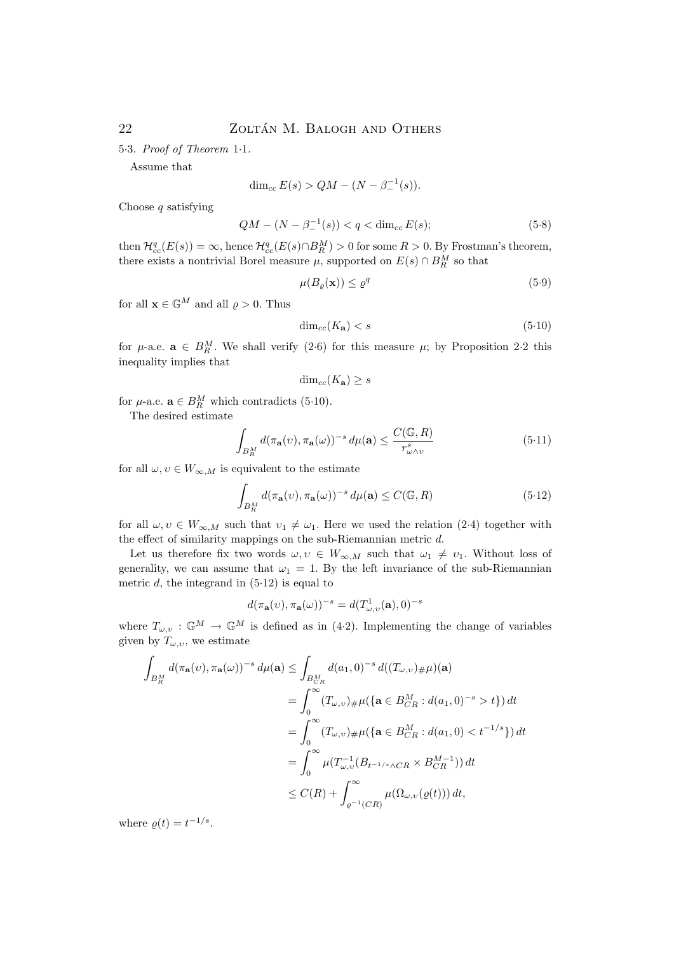5·3. Proof of Theorem 1·1.

Assume that

$$
\dim_{cc} E(s) > QM - (N - \beta_-^{-1}(s)).
$$

Choose  $q$  satisfying

$$
QM - (N - \beta_-^{-1}(s)) < q < \dim_{cc} E(s); \tag{5.8}
$$

then  $\mathcal{H}_{cc}^q(E(s)) = \infty$ , hence  $\mathcal{H}_{cc}^q(E(s) \cap B_R^M) > 0$  for some  $R > 0$ . By Frostman's theorem, there exists a nontrivial Borel measure  $\mu$ , supported on  $E(s) \cap B_R^M$  so that

$$
\mu(B_{\varrho}(\mathbf{x})) \le \varrho^q \tag{5.9}
$$

for all  $\mathbf{x} \in \mathbb{G}^M$  and all  $\varrho > 0$ . Thus

$$
\dim_{cc}(K_{\mathbf{a}}) < s \tag{5.10}
$$

for  $\mu$ -a.e.  $\mathbf{a} \in B_R^M$ . We shall verify (2.6) for this measure  $\mu$ ; by Proposition 2.2 this inequality implies that

$$
\dim_{cc}(K_{\mathbf{a}}) \geq s
$$

for  $\mu$ -a.e.  $\mathbf{a} \in B_R^M$  which contradicts (5.10).

The desired estimate

$$
\int_{B_R^M} d(\pi_\mathbf{a}(v), \pi_\mathbf{a}(\omega))^{-s} d\mu(\mathbf{a}) \le \frac{C(\mathbb{G}, R)}{r_{\omega \wedge v}^s} \tag{5.11}
$$

for all  $\omega, v \in W_{\infty,M}$  is equivalent to the estimate

$$
\int_{B_R^M} d(\pi_\mathbf{a}(v), \pi_\mathbf{a}(\omega))^{-s} d\mu(\mathbf{a}) \le C(\mathbb{G}, R)
$$
\n(5.12)

for all  $\omega, v \in W_{\infty,M}$  such that  $v_1 \neq \omega_1$ . Here we used the relation (2·4) together with the effect of similarity mappings on the sub-Riemannian metric d.

Let us therefore fix two words  $\omega, v \in W_{\infty,M}$  such that  $\omega_1 \neq v_1$ . Without loss of generality, we can assume that  $\omega_1 = 1$ . By the left invariance of the sub-Riemannian metric  $d$ , the integrand in  $(5.12)$  is equal to

$$
d(\pi_{\mathbf{a}}(v), \pi_{\mathbf{a}}(\omega))^{-s} = d(T_{\omega,v}^1(\mathbf{a}), 0)^{-s}
$$

where  $T_{\omega,v} : \mathbb{G}^M \to \mathbb{G}^M$  is defined as in (4.2). Implementing the change of variables given by  $T_{\omega,\nu}$ , we estimate

$$
\int_{B_R^M} d(\pi_{\mathbf{a}}(v), \pi_{\mathbf{a}}(\omega))^{-s} d\mu(\mathbf{a}) \le \int_{B_{CR}^M} d(a_1, 0)^{-s} d((T_{\omega, v})_{\#}\mu)(\mathbf{a})
$$
\n
$$
= \int_0^\infty (T_{\omega, v})_{\#}\mu(\{\mathbf{a} \in B_{CR}^M : d(a_1, 0)^{-s} > t\}) dt
$$
\n
$$
= \int_0^\infty (T_{\omega, v})_{\#}\mu(\{\mathbf{a} \in B_{CR}^M : d(a_1, 0) < t^{-1/s}\}) dt
$$
\n
$$
= \int_0^\infty \mu(T_{\omega, v}^{-1}(B_{t^{-1/s}\wedge CR} \times B_{CR}^{M-1})) dt
$$
\n
$$
\le C(R) + \int_{\varrho^{-1}(CR)}^\infty \mu(\Omega_{\omega, v}(\varrho(t))) dt,
$$

where  $\rho(t) = t^{-1/s}$ .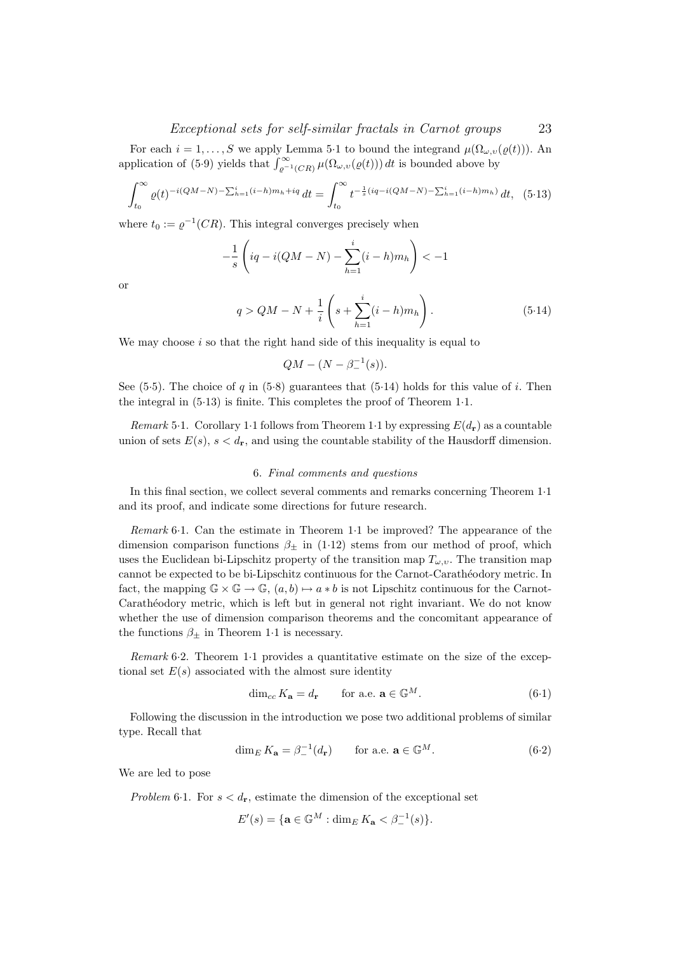### Exceptional sets for self-similar fractals in Carnot groups 23

For each  $i = 1, ..., S$  we apply Lemma 5.1 to bound the integrand  $\mu(\Omega_{\omega,\nu}(\varrho(t)))$ . An application of (5.9) yields that  $\int_{\varrho^{-1}(CR)}^{\infty} \mu(\Omega_{\omega,v}(\varrho(t))) dt$  is bounded above by

$$
\int_{t_0}^{\infty} \varrho(t)^{-i(QM-N) - \sum_{h=1}^{i} (i-h)m_h + iq} dt = \int_{t_0}^{\infty} t^{-\frac{1}{s}(iq - i(QM-N) - \sum_{h=1}^{i} (i-h)m_h)} dt, \tag{5.13}
$$

where  $t_0 := \varrho^{-1}(CR)$ . This integral converges precisely when

$$
-\frac{1}{s}\left( iq - i(QM - N) - \sum_{h=1}^{i} (i - h)m_h \right) < -1
$$

or

$$
q > QM - N + \frac{1}{i} \left( s + \sum_{h=1}^{i} (i - h) m_h \right). \tag{5.14}
$$

We may choose  $i$  so that the right hand side of this inequality is equal to

$$
QM - (N - \beta_-^{-1}(s)).
$$

See (5.5). The choice of q in (5.8) guarantees that (5.14) holds for this value of i. Then the integral in (5·13) is finite. This completes the proof of Theorem 1·1.

Remark 5.1. Corollary 1.1 follows from Theorem 1.1 by expressing  $E(d_r)$  as a countable union of sets  $E(s)$ ,  $s < d_r$ , and using the countable stability of the Hausdorff dimension.

### 6. Final comments and questions

In this final section, we collect several comments and remarks concerning Theorem 1·1 and its proof, and indicate some directions for future research.

Remark 6·1. Can the estimate in Theorem 1·1 be improved? The appearance of the dimension comparison functions  $\beta_{\pm}$  in (1.12) stems from our method of proof, which uses the Euclidean bi-Lipschitz property of the transition map  $T_{\omega,\upsilon}$ . The transition map cannot be expected to be bi-Lipschitz continuous for the Carnot-Carathéodory metric. In fact, the mapping  $\mathbb{G} \times \mathbb{G} \to \mathbb{G}$ ,  $(a, b) \mapsto a * b$  is not Lipschitz continuous for the Carnot-Carathéodory metric, which is left but in general not right invariant. We do not know whether the use of dimension comparison theorems and the concomitant appearance of the functions  $\beta_{\pm}$  in Theorem 1.1 is necessary.

Remark 6·2. Theorem 1·1 provides a quantitative estimate on the size of the exceptional set  $E(s)$  associated with the almost sure identity

$$
\dim_{cc} K_{\mathbf{a}} = d_{\mathbf{r}} \qquad \text{for a.e. } \mathbf{a} \in \mathbb{G}^M. \tag{6.1}
$$

Following the discussion in the introduction we pose two additional problems of similar type. Recall that

$$
\dim_E K_{\mathbf{a}} = \beta_-^{-1}(d_{\mathbf{r}}) \qquad \text{for a.e. } \mathbf{a} \in \mathbb{G}^M. \tag{6.2}
$$

We are led to pose

Problem 6.1. For  $s < d_r$ , estimate the dimension of the exceptional set

$$
E'(s) = \{ \mathbf{a} \in \mathbb{G}^M : \dim_E K_\mathbf{a} < \beta^{-1}_-(s) \}.
$$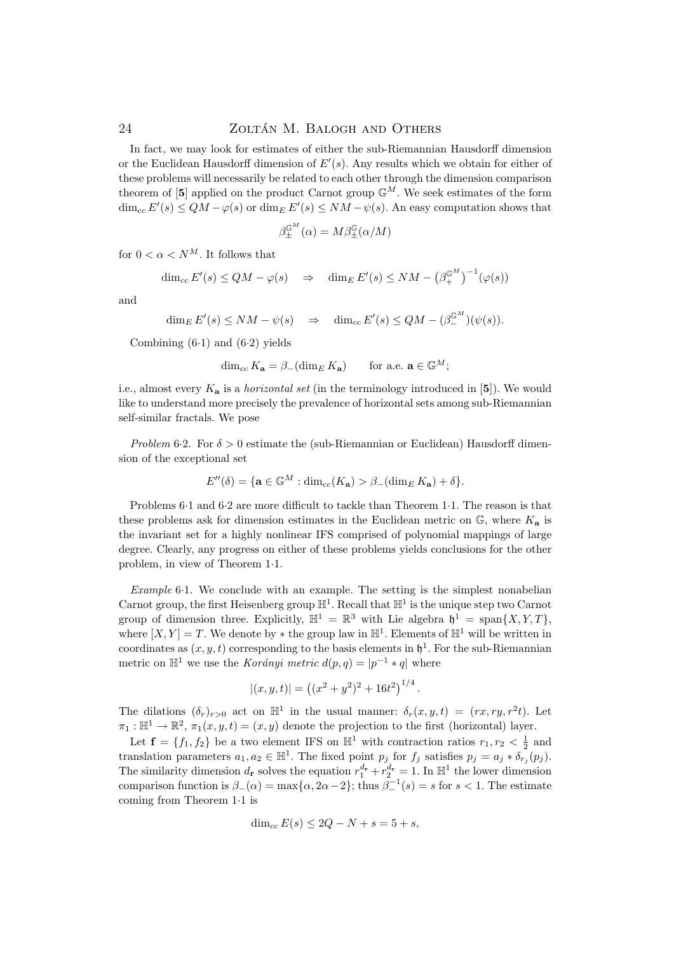In fact, we may look for estimates of either the sub-Riemannian Hausdorff dimension or the Euclidean Hausdorff dimension of  $E'(s)$ . Any results which we obtain for either of these problems will necessarily be related to each other through the dimension comparison theorem of [5] applied on the product Carnot group  $\mathbb{G}^M$ . We seek estimates of the form  $\dim_{cc} E'(s) \leq QM - \varphi(s)$  or  $\dim_E E'(s) \leq NM - \psi(s)$ . An easy computation shows that

$$
\beta^{\mathbb{G}^M}_{\pm}(\alpha) = M \beta^{\mathbb{G}}_{\pm}(\alpha/M)
$$

for  $0 < \alpha < N^M$ . It follows that

$$
\dim_{cc} E'(s) \le QM - \varphi(s) \quad \Rightarrow \quad \dim_E E'(s) \le NM - \left(\beta_+^{\mathbb{G}^M}\right)^{-1}(\varphi(s))
$$

and

 $\dim_E E'(s) \le NM - \psi(s) \Rightarrow \dim_{cc} E'(s) \le QM - (\beta_{-}^{\mathbb{G}^M})(\psi(s)).$ 

Combining  $(6.1)$  and  $(6.2)$  yields

$$
\dim_{cc} K_{\mathbf{a}} = \beta_{-}(\dim_{E} K_{\mathbf{a}}) \qquad \text{for a.e. } \mathbf{a} \in \mathbb{G}^{M};
$$

i.e., almost every  $K_{a}$  is a *horizontal set* (in the terminology introduced in [5]). We would like to understand more precisely the prevalence of horizontal sets among sub-Riemannian self-similar fractals. We pose

Problem 6.2. For  $\delta > 0$  estimate the (sub-Riemannian or Euclidean) Hausdorff dimension of the exceptional set

$$
E''(\delta) = \{ \mathbf{a} \in \mathbb{G}^M : \dim_{cc}(K_\mathbf{a}) > \beta_-(\dim_E K_\mathbf{a}) + \delta \}.
$$

Problems 6·1 and 6·2 are more difficult to tackle than Theorem 1·1. The reason is that these problems ask for dimension estimates in the Euclidean metric on  $\mathbb{G}$ , where  $K_a$  is the invariant set for a highly nonlinear IFS comprised of polynomial mappings of large degree. Clearly, any progress on either of these problems yields conclusions for the other problem, in view of Theorem 1·1.

Example 6·1. We conclude with an example. The setting is the simplest nonabelian Carnot group, the first Heisenberg group  $\mathbb{H}^1$ . Recall that  $\mathbb{H}^1$  is the unique step two Carnot group of dimension three. Explicitly,  $\mathbb{H}^1 = \mathbb{R}^3$  with Lie algebra  $\mathfrak{h}^1 = \text{span}\{X, Y, T\}$ , where  $[X, Y] = T$ . We denote by  $*$  the group law in  $\mathbb{H}^1$ . Elements of  $\mathbb{H}^1$  will be written in coordinates as  $(x, y, t)$  corresponding to the basis elements in  $\mathfrak{h}^1$ . For the sub-Riemannian metric on  $\mathbb{H}^1$  we use the *Korányi metric*  $d(p, q) = |p^{-1} * q|$  where

$$
|(x, y, t)| = ((x^2 + y^2)^2 + 16t^2)^{1/4}.
$$

The dilations  $(\delta_r)_{r>0}$  act on  $\mathbb{H}^1$  in the usual manner:  $\delta_r(x,y,t) = (rx, ry, r^2t)$ . Let  $\pi_1 : \mathbb{H}^1 \to \mathbb{R}^2$ ,  $\pi_1(x, y, t) = (x, y)$  denote the projection to the first (horizontal) layer.

Let  $\mathbf{f} = \{f_1, f_2\}$  be a two element IFS on  $\mathbb{H}^1$  with contraction ratios  $r_1, r_2 < \frac{1}{2}$  and translation parameters  $a_1, a_2 \in \mathbb{H}^1$ . The fixed point  $p_j$  for  $f_j$  satisfies  $p_j = a_j * \delta_{r_j}(p_j)$ . The similarity dimension  $d_r$  solves the equation  $r_1^{d_r} + r_2^{d_r} = 1$ . In  $\mathbb{H}^1$  the lower dimension comparison function is  $\beta_-(\alpha) = \max{\lbrace \alpha, 2\alpha - 2 \rbrace}$ ; thus  $\beta_-^{-1}(s) = s$  for  $s < 1$ . The estimate coming from Theorem 1·1 is

$$
\dim_{cc} E(s) \le 2Q - N + s = 5 + s,
$$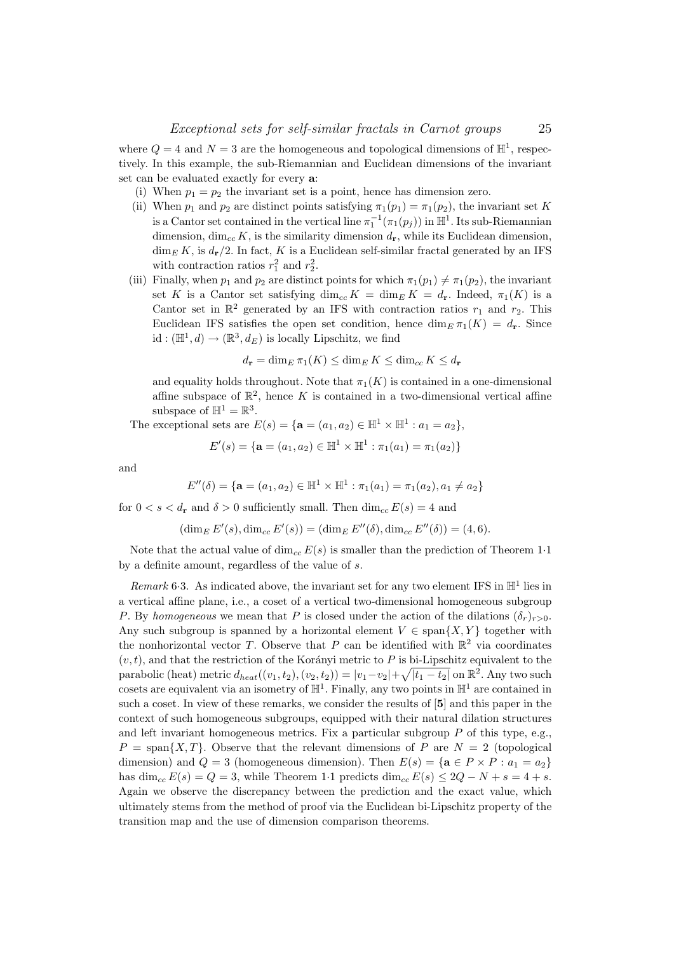where  $Q = 4$  and  $N = 3$  are the homogeneous and topological dimensions of  $\mathbb{H}^1$ , respectively. In this example, the sub-Riemannian and Euclidean dimensions of the invariant set can be evaluated exactly for every a:

- (i) When  $p_1 = p_2$  the invariant set is a point, hence has dimension zero.
- (ii) When  $p_1$  and  $p_2$  are distinct points satisfying  $\pi_1(p_1) = \pi_1(p_2)$ , the invariant set K is a Cantor set contained in the vertical line  $\pi_1^{-1}(\pi_1(p_j))$  in  $\mathbb{H}^1$ . Its sub-Riemannian dimension,  $\dim_{cc} K$ , is the similarity dimension  $d_{\mathbf{r}}$ , while its Euclidean dimension,  $\dim_E K$ , is  $d_{\mathbf{r}}/2$ . In fact, K is a Euclidean self-similar fractal generated by an IFS with contraction ratios  $r_1^2$  and  $r_2^2$ .
- (iii) Finally, when  $p_1$  and  $p_2$  are distinct points for which  $\pi_1(p_1) \neq \pi_1(p_2)$ , the invariant set K is a Cantor set satisfying  $\dim_{cc} K = \dim_E K = d_r$ . Indeed,  $\pi_1(K)$  is a Cantor set in  $\mathbb{R}^2$  generated by an IFS with contraction ratios  $r_1$  and  $r_2$ . This Euclidean IFS satisfies the open set condition, hence  $\dim_E \pi_1(K) = d_r$ . Since id :  $(\mathbb{H}^1, d) \to (\mathbb{R}^3, d_E)$  is locally Lipschitz, we find

$$
d_{\mathbf{r}} = \dim_E \pi_1(K) \le \dim_E K \le \dim_{cc} K \le d_{\mathbf{r}}
$$

and equality holds throughout. Note that  $\pi_1(K)$  is contained in a one-dimensional affine subspace of  $\mathbb{R}^2$ , hence K is contained in a two-dimensional vertical affine subspace of  $\mathbb{H}^1 = \mathbb{R}^3$ .

The exceptional sets are  $E(s) = {\mathbf{a} = (a_1, a_2) \in \mathbb{H}^1 \times \mathbb{H}^1 : a_1 = a_2},$ 

$$
E'(s) = \{ \mathbf{a} = (a_1, a_2) \in \mathbb{H}^1 \times \mathbb{H}^1 : \pi_1(a_1) = \pi_1(a_2) \}
$$

and

$$
E''(\delta) = \{ \mathbf{a} = (a_1, a_2) \in \mathbb{H}^1 \times \mathbb{H}^1 : \pi_1(a_1) = \pi_1(a_2), a_1 \neq a_2 \}
$$

for  $0 < s < d_r$  and  $\delta > 0$  sufficiently small. Then  $\dim_{cc} E(s) = 4$  and

 $(\dim_E E'(s), \dim_{cc} E'(s)) = (\dim_E E''(\delta), \dim_{cc} E''(\delta)) = (4, 6).$ 

Note that the actual value of  $\dim_{cc} E(s)$  is smaller than the prediction of Theorem 1.1 by a definite amount, regardless of the value of s.

Remark 6.3. As indicated above, the invariant set for any two element IFS in  $\mathbb{H}^1$  lies in a vertical affine plane, i.e., a coset of a vertical two-dimensional homogeneous subgroup P. By homogeneous we mean that P is closed under the action of the dilations  $(\delta_r)_{r>0}$ . Any such subgroup is spanned by a horizontal element  $V \in \text{span}\{X, Y\}$  together with the nonhorizontal vector T. Observe that P can be identified with  $\mathbb{R}^2$  via coordinates  $(v, t)$ , and that the restriction of the Korányi metric to P is bi-Lipschitz equivalent to the parabolic (heat) metric  $d_{heat}((v_1, t_2), (v_2, t_2)) = |v_1 - v_2| + \sqrt{|t_1 - t_2|}$  on  $\mathbb{R}^2$ . Any two such cosets are equivalent via an isometry of  $\mathbb{H}^1$ . Finally, any two points in  $\mathbb{H}^1$  are contained in such a coset. In view of these remarks, we consider the results of [5] and this paper in the context of such homogeneous subgroups, equipped with their natural dilation structures and left invariant homogeneous metrics. Fix a particular subgroup  $P$  of this type, e.g.,  $P = \text{span}\{X,T\}$ . Observe that the relevant dimensions of P are  $N = 2$  (topological dimension) and  $Q = 3$  (homogeneous dimension). Then  $E(s) = {\mathbf{a} \in P \times P : a_1 = a_2}$ has dim<sub>cc</sub>  $E(s) = Q = 3$ , while Theorem 1·1 predicts dim<sub>cc</sub>  $E(s) \leq 2Q - N + s = 4 + s$ . Again we observe the discrepancy between the prediction and the exact value, which ultimately stems from the method of proof via the Euclidean bi-Lipschitz property of the transition map and the use of dimension comparison theorems.